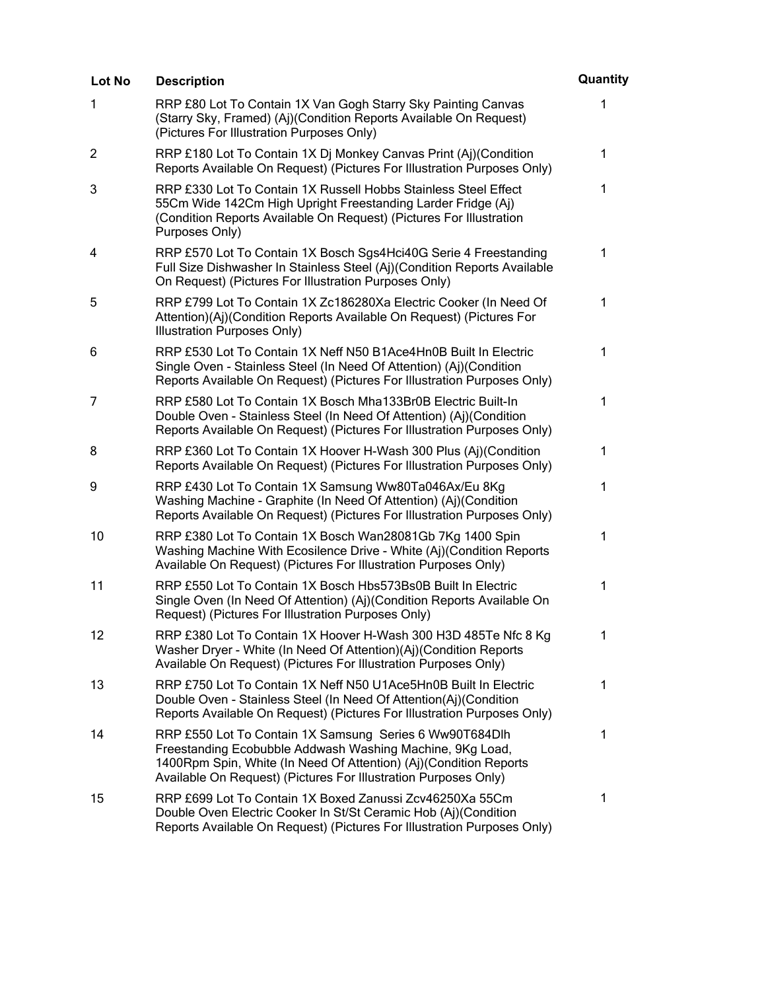| Lot No         | <b>Description</b>                                                                                                                                                                                                                                           | Quantity     |
|----------------|--------------------------------------------------------------------------------------------------------------------------------------------------------------------------------------------------------------------------------------------------------------|--------------|
| 1              | RRP £80 Lot To Contain 1X Van Gogh Starry Sky Painting Canvas<br>(Starry Sky, Framed) (Aj)(Condition Reports Available On Request)<br>(Pictures For Illustration Purposes Only)                                                                              | 1            |
| $\overline{2}$ | RRP £180 Lot To Contain 1X Dj Monkey Canvas Print (Aj)(Condition<br>Reports Available On Request) (Pictures For Illustration Purposes Only)                                                                                                                  | $\mathbf 1$  |
| 3              | RRP £330 Lot To Contain 1X Russell Hobbs Stainless Steel Effect<br>55Cm Wide 142Cm High Upright Freestanding Larder Fridge (Aj)<br>(Condition Reports Available On Request) (Pictures For Illustration<br>Purposes Only)                                     | $\mathbf 1$  |
| 4              | RRP £570 Lot To Contain 1X Bosch Sgs4Hci40G Serie 4 Freestanding<br>Full Size Dishwasher In Stainless Steel (Aj)(Condition Reports Available<br>On Request) (Pictures For Illustration Purposes Only)                                                        | 1            |
| 5              | RRP £799 Lot To Contain 1X Zc186280Xa Electric Cooker (In Need Of<br>Attention)(Aj)(Condition Reports Available On Request) (Pictures For<br>Illustration Purposes Only)                                                                                     | $\mathbf 1$  |
| 6              | RRP £530 Lot To Contain 1X Neff N50 B1Ace4Hn0B Built In Electric<br>Single Oven - Stainless Steel (In Need Of Attention) (Aj)(Condition<br>Reports Available On Request) (Pictures For Illustration Purposes Only)                                           | $\mathbf{1}$ |
| 7              | RRP £580 Lot To Contain 1X Bosch Mha133Br0B Electric Built-In<br>Double Oven - Stainless Steel (In Need Of Attention) (Aj)(Condition<br>Reports Available On Request) (Pictures For Illustration Purposes Only)                                              | $\mathbf{1}$ |
| 8              | RRP £360 Lot To Contain 1X Hoover H-Wash 300 Plus (Aj)(Condition<br>Reports Available On Request) (Pictures For Illustration Purposes Only)                                                                                                                  | $\mathbf 1$  |
| 9              | RRP £430 Lot To Contain 1X Samsung Ww80Ta046Ax/Eu 8Kg<br>Washing Machine - Graphite (In Need Of Attention) (Aj)(Condition<br>Reports Available On Request) (Pictures For Illustration Purposes Only)                                                         | $\mathbf{1}$ |
| 10             | RRP £380 Lot To Contain 1X Bosch Wan28081Gb 7Kg 1400 Spin<br>Washing Machine With Ecosilence Drive - White (Aj)(Condition Reports<br>Available On Request) (Pictures For Illustration Purposes Only)                                                         | $\mathbf{1}$ |
| 11             | RRP £550 Lot To Contain 1X Bosch Hbs573Bs0B Built In Electric<br>Single Oven (In Need Of Attention) (Aj)(Condition Reports Available On<br>Request) (Pictures For Illustration Purposes Only)                                                                | 1            |
| 12             | RRP £380 Lot To Contain 1X Hoover H-Wash 300 H3D 485Te Nfc 8 Kg<br>Washer Dryer - White (In Need Of Attention)(Aj)(Condition Reports<br>Available On Request) (Pictures For Illustration Purposes Only)                                                      | 1            |
| 13             | RRP £750 Lot To Contain 1X Neff N50 U1Ace5Hn0B Built In Electric<br>Double Oven - Stainless Steel (In Need Of Attention(Aj)(Condition<br>Reports Available On Request) (Pictures For Illustration Purposes Only)                                             | 1            |
| 14             | RRP £550 Lot To Contain 1X Samsung Series 6 Ww90T684Dlh<br>Freestanding Ecobubble Addwash Washing Machine, 9Kg Load,<br>1400Rpm Spin, White (In Need Of Attention) (Aj)(Condition Reports<br>Available On Request) (Pictures For Illustration Purposes Only) | 1            |
| 15             | RRP £699 Lot To Contain 1X Boxed Zanussi Zcv46250Xa 55Cm<br>Double Oven Electric Cooker In St/St Ceramic Hob (Aj)(Condition<br>Reports Available On Request) (Pictures For Illustration Purposes Only)                                                       | 1            |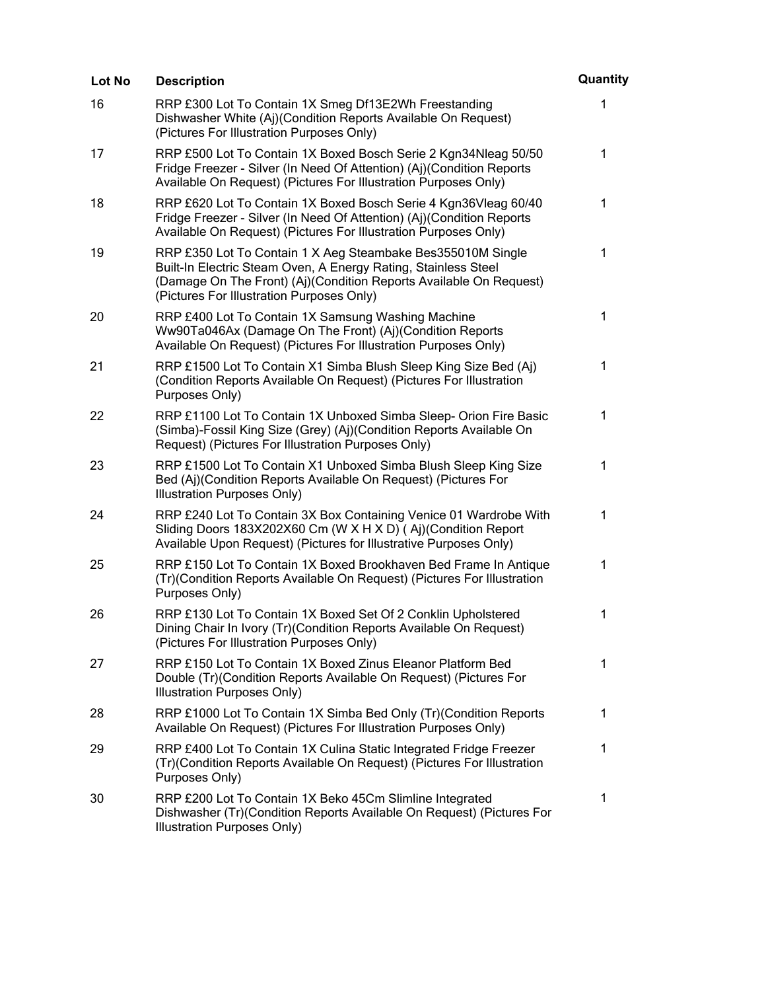| Lot No | <b>Description</b>                                                                                                                                                                                                                               | Quantity     |
|--------|--------------------------------------------------------------------------------------------------------------------------------------------------------------------------------------------------------------------------------------------------|--------------|
| 16     | RRP £300 Lot To Contain 1X Smeg Df13E2Wh Freestanding<br>Dishwasher White (Aj)(Condition Reports Available On Request)<br>(Pictures For Illustration Purposes Only)                                                                              | 1            |
| 17     | RRP £500 Lot To Contain 1X Boxed Bosch Serie 2 Kgn34Nleag 50/50<br>Fridge Freezer - Silver (In Need Of Attention) (Aj)(Condition Reports<br>Available On Request) (Pictures For Illustration Purposes Only)                                      | $\mathbf{1}$ |
| 18     | RRP £620 Lot To Contain 1X Boxed Bosch Serie 4 Kgn36Vleag 60/40<br>Fridge Freezer - Silver (In Need Of Attention) (Aj)(Condition Reports<br>Available On Request) (Pictures For Illustration Purposes Only)                                      | 1            |
| 19     | RRP £350 Lot To Contain 1 X Aeg Steambake Bes355010M Single<br>Built-In Electric Steam Oven, A Energy Rating, Stainless Steel<br>(Damage On The Front) (Aj)(Condition Reports Available On Request)<br>(Pictures For Illustration Purposes Only) | 1            |
| 20     | RRP £400 Lot To Contain 1X Samsung Washing Machine<br>Ww90Ta046Ax (Damage On The Front) (Aj)(Condition Reports<br>Available On Request) (Pictures For Illustration Purposes Only)                                                                | 1            |
| 21     | RRP £1500 Lot To Contain X1 Simba Blush Sleep King Size Bed (Aj)<br>(Condition Reports Available On Request) (Pictures For Illustration<br>Purposes Only)                                                                                        | 1            |
| 22     | RRP £1100 Lot To Contain 1X Unboxed Simba Sleep- Orion Fire Basic<br>(Simba)-Fossil King Size (Grey) (Aj)(Condition Reports Available On<br>Request) (Pictures For Illustration Purposes Only)                                                   | 1            |
| 23     | RRP £1500 Lot To Contain X1 Unboxed Simba Blush Sleep King Size<br>Bed (Aj)(Condition Reports Available On Request) (Pictures For<br>Illustration Purposes Only)                                                                                 | 1            |
| 24     | RRP £240 Lot To Contain 3X Box Containing Venice 01 Wardrobe With<br>Sliding Doors 183X202X60 Cm (W X H X D) (Aj)(Condition Report<br>Available Upon Request) (Pictures for Illustrative Purposes Only)                                          | 1            |
| 25     | RRP £150 Lot To Contain 1X Boxed Brookhaven Bed Frame In Antique<br>(Tr)(Condition Reports Available On Request) (Pictures For Illustration<br>Purposes Only)                                                                                    | 1            |
| 26     | RRP £130 Lot To Contain 1X Boxed Set Of 2 Conklin Upholstered<br>Dining Chair In Ivory (Tr)(Condition Reports Available On Request)<br>(Pictures For Illustration Purposes Only)                                                                 | 1            |
| 27     | RRP £150 Lot To Contain 1X Boxed Zinus Eleanor Platform Bed<br>Double (Tr) (Condition Reports Available On Request) (Pictures For<br>Illustration Purposes Only)                                                                                 | 1            |
| 28     | RRP £1000 Lot To Contain 1X Simba Bed Only (Tr)(Condition Reports<br>Available On Request) (Pictures For Illustration Purposes Only)                                                                                                             | 1            |
| 29     | RRP £400 Lot To Contain 1X Culina Static Integrated Fridge Freezer<br>(Tr)(Condition Reports Available On Request) (Pictures For Illustration<br>Purposes Only)                                                                                  | 1            |
| 30     | RRP £200 Lot To Contain 1X Beko 45Cm Slimline Integrated<br>Dishwasher (Tr)(Condition Reports Available On Request) (Pictures For<br>Illustration Purposes Only)                                                                                 | 1            |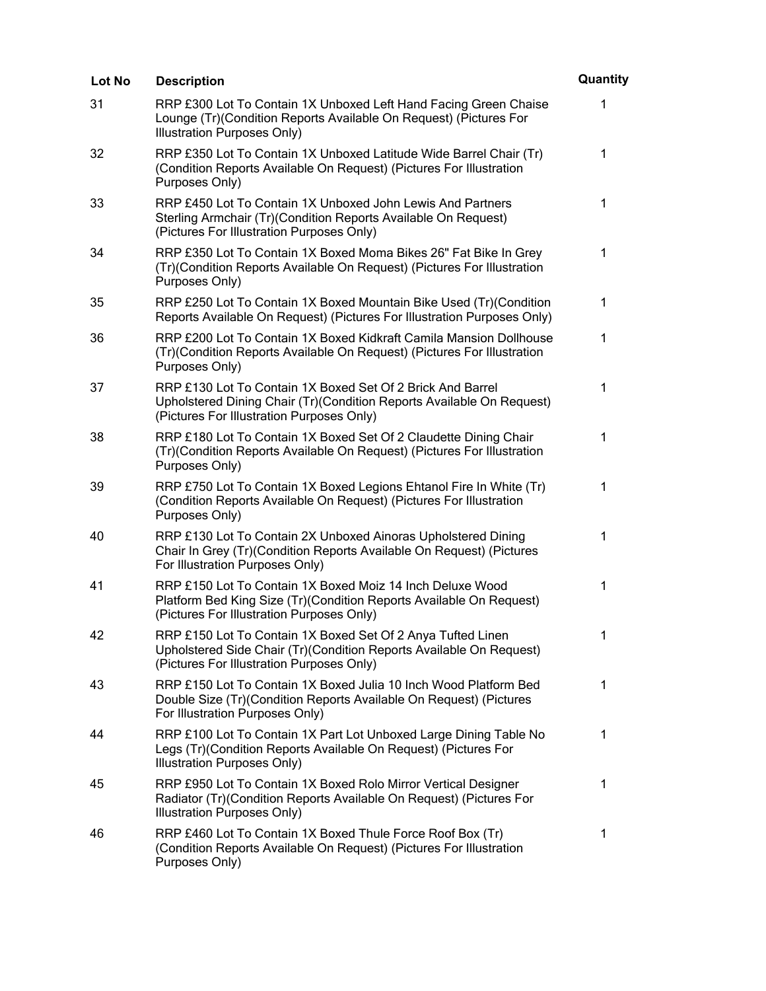| <b>Lot No</b> | <b>Description</b>                                                                                                                                                               | Quantity     |
|---------------|----------------------------------------------------------------------------------------------------------------------------------------------------------------------------------|--------------|
| 31            | RRP £300 Lot To Contain 1X Unboxed Left Hand Facing Green Chaise<br>Lounge (Tr) (Condition Reports Available On Request) (Pictures For<br>Illustration Purposes Only)            | 1            |
| 32            | RRP £350 Lot To Contain 1X Unboxed Latitude Wide Barrel Chair (Tr)<br>(Condition Reports Available On Request) (Pictures For Illustration<br>Purposes Only)                      | $\mathbf 1$  |
| 33            | RRP £450 Lot To Contain 1X Unboxed John Lewis And Partners<br>Sterling Armchair (Tr) (Condition Reports Available On Request)<br>(Pictures For Illustration Purposes Only)       | 1            |
| 34            | RRP £350 Lot To Contain 1X Boxed Moma Bikes 26" Fat Bike In Grey<br>(Tr)(Condition Reports Available On Request) (Pictures For Illustration<br>Purposes Only)                    | 1            |
| 35            | RRP £250 Lot To Contain 1X Boxed Mountain Bike Used (Tr)(Condition<br>Reports Available On Request) (Pictures For Illustration Purposes Only)                                    | $\mathbf 1$  |
| 36            | RRP £200 Lot To Contain 1X Boxed Kidkraft Camila Mansion Dollhouse<br>(Tr)(Condition Reports Available On Request) (Pictures For Illustration<br>Purposes Only)                  | 1            |
| 37            | RRP £130 Lot To Contain 1X Boxed Set Of 2 Brick And Barrel<br>Upholstered Dining Chair (Tr)(Condition Reports Available On Request)<br>(Pictures For Illustration Purposes Only) | 1            |
| 38            | RRP £180 Lot To Contain 1X Boxed Set Of 2 Claudette Dining Chair<br>(Tr)(Condition Reports Available On Request) (Pictures For Illustration<br>Purposes Only)                    | $\mathbf{1}$ |
| 39            | RRP £750 Lot To Contain 1X Boxed Legions Ehtanol Fire In White (Tr)<br>(Condition Reports Available On Request) (Pictures For Illustration<br>Purposes Only)                     | $\mathbf{1}$ |
| 40            | RRP £130 Lot To Contain 2X Unboxed Ainoras Upholstered Dining<br>Chair In Grey (Tr) (Condition Reports Available On Request) (Pictures<br>For Illustration Purposes Only)        | 1            |
| 41            | RRP £150 Lot To Contain 1X Boxed Moiz 14 Inch Deluxe Wood<br>Platform Bed King Size (Tr) (Condition Reports Available On Request)<br>(Pictures For Illustration Purposes Only)   | 1            |
| 42            | RRP £150 Lot To Contain 1X Boxed Set Of 2 Anya Tufted Linen<br>Upholstered Side Chair (Tr)(Condition Reports Available On Request)<br>(Pictures For Illustration Purposes Only)  | 1            |
| 43            | RRP £150 Lot To Contain 1X Boxed Julia 10 Inch Wood Platform Bed<br>Double Size (Tr)(Condition Reports Available On Request) (Pictures<br>For Illustration Purposes Only)        | 1            |
| 44            | RRP £100 Lot To Contain 1X Part Lot Unboxed Large Dining Table No<br>Legs (Tr) (Condition Reports Available On Request) (Pictures For<br>Illustration Purposes Only)             | 1            |
| 45            | RRP £950 Lot To Contain 1X Boxed Rolo Mirror Vertical Designer<br>Radiator (Tr)(Condition Reports Available On Request) (Pictures For<br>Illustration Purposes Only)             | 1            |
| 46            | RRP £460 Lot To Contain 1X Boxed Thule Force Roof Box (Tr)<br>(Condition Reports Available On Request) (Pictures For Illustration<br>Purposes Only)                              | 1            |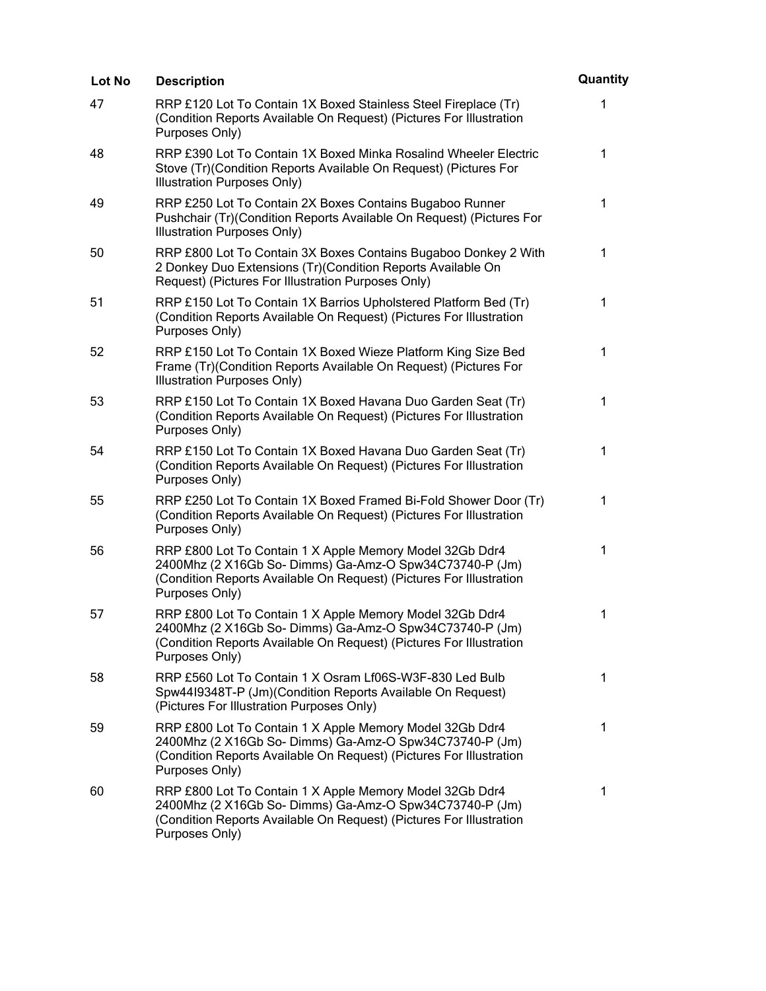| <b>Lot No</b> | <b>Description</b>                                                                                                                                                                                           | Quantity     |
|---------------|--------------------------------------------------------------------------------------------------------------------------------------------------------------------------------------------------------------|--------------|
| 47            | RRP £120 Lot To Contain 1X Boxed Stainless Steel Fireplace (Tr)<br>(Condition Reports Available On Request) (Pictures For Illustration<br>Purposes Only)                                                     | 1            |
| 48            | RRP £390 Lot To Contain 1X Boxed Minka Rosalind Wheeler Electric<br>Stove (Tr) (Condition Reports Available On Request) (Pictures For<br>Illustration Purposes Only)                                         | $\mathbf 1$  |
| 49            | RRP £250 Lot To Contain 2X Boxes Contains Bugaboo Runner<br>Pushchair (Tr)(Condition Reports Available On Request) (Pictures For<br><b>Illustration Purposes Only)</b>                                       | $\mathbf{1}$ |
| 50            | RRP £800 Lot To Contain 3X Boxes Contains Bugaboo Donkey 2 With<br>2 Donkey Duo Extensions (Tr)(Condition Reports Available On<br>Request) (Pictures For Illustration Purposes Only)                         | $\mathbf{1}$ |
| 51            | RRP £150 Lot To Contain 1X Barrios Upholstered Platform Bed (Tr)<br>(Condition Reports Available On Request) (Pictures For Illustration<br>Purposes Only)                                                    | 1            |
| 52            | RRP £150 Lot To Contain 1X Boxed Wieze Platform King Size Bed<br>Frame (Tr) (Condition Reports Available On Request) (Pictures For<br>Illustration Purposes Only)                                            | 1            |
| 53            | RRP £150 Lot To Contain 1X Boxed Havana Duo Garden Seat (Tr)<br>(Condition Reports Available On Request) (Pictures For Illustration<br>Purposes Only)                                                        | $\mathbf 1$  |
| 54            | RRP £150 Lot To Contain 1X Boxed Havana Duo Garden Seat (Tr)<br>(Condition Reports Available On Request) (Pictures For Illustration<br>Purposes Only)                                                        | 1            |
| 55            | RRP £250 Lot To Contain 1X Boxed Framed Bi-Fold Shower Door (Tr)<br>(Condition Reports Available On Request) (Pictures For Illustration<br>Purposes Only)                                                    | $\mathbf{1}$ |
| 56            | RRP £800 Lot To Contain 1 X Apple Memory Model 32Gb Ddr4<br>2400Mhz (2 X16Gb So- Dimms) Ga-Amz-O Spw34C73740-P (Jm)<br>(Condition Reports Available On Request) (Pictures For Illustration<br>Purposes Only) | 1            |
| 57            | RRP £800 Lot To Contain 1 X Apple Memory Model 32Gb Ddr4<br>2400Mhz (2 X16Gb So- Dimms) Ga-Amz-O Spw34C73740-P (Jm)<br>(Condition Reports Available On Request) (Pictures For Illustration<br>Purposes Only) | 1            |
| 58            | RRP £560 Lot To Contain 1 X Osram Lf06S-W3F-830 Led Bulb<br>Spw4419348T-P (Jm)(Condition Reports Available On Request)<br>(Pictures For Illustration Purposes Only)                                          | 1            |
| 59            | RRP £800 Lot To Contain 1 X Apple Memory Model 32Gb Ddr4<br>2400Mhz (2 X16Gb So- Dimms) Ga-Amz-O Spw34C73740-P (Jm)<br>(Condition Reports Available On Request) (Pictures For Illustration<br>Purposes Only) | 1            |
| 60            | RRP £800 Lot To Contain 1 X Apple Memory Model 32Gb Ddr4<br>2400Mhz (2 X16Gb So- Dimms) Ga-Amz-O Spw34C73740-P (Jm)<br>(Condition Reports Available On Request) (Pictures For Illustration<br>Purposes Only) | 1            |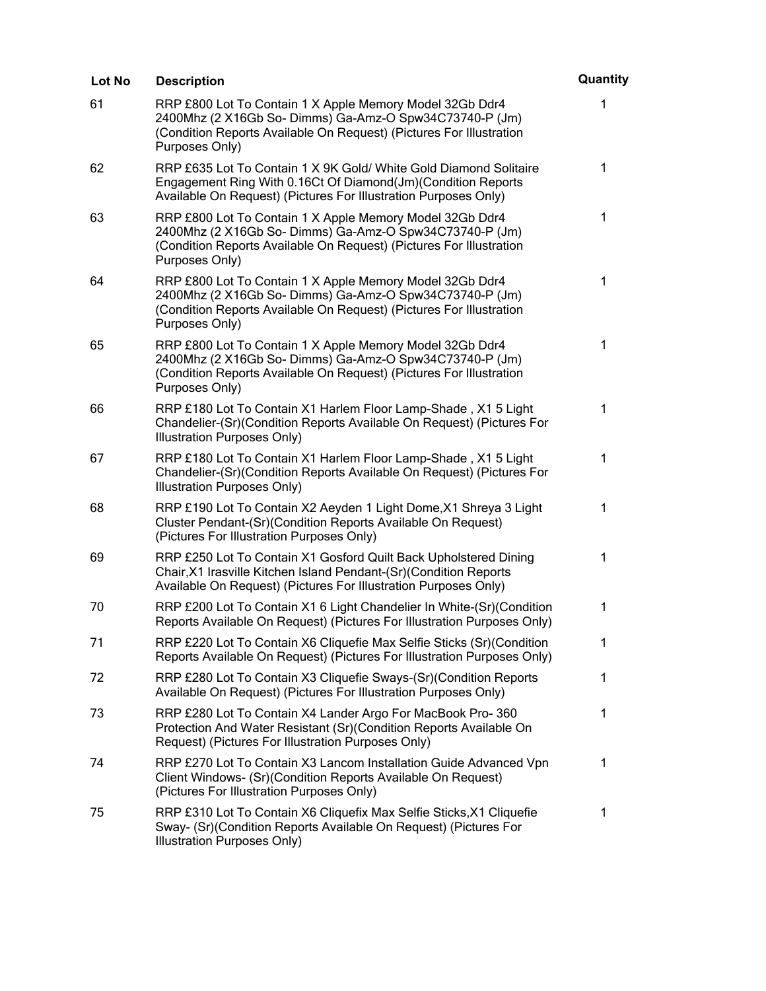| Lot No | <b>Description</b>                                                                                                                                                                                           | Quantity    |
|--------|--------------------------------------------------------------------------------------------------------------------------------------------------------------------------------------------------------------|-------------|
| 61     | RRP £800 Lot To Contain 1 X Apple Memory Model 32Gb Ddr4<br>2400Mhz (2 X16Gb So- Dimms) Ga-Amz-O Spw34C73740-P (Jm)<br>(Condition Reports Available On Request) (Pictures For Illustration<br>Purposes Only) | 1           |
| 62     | RRP £635 Lot To Contain 1 X 9K Gold/ White Gold Diamond Solitaire<br>Engagement Ring With 0.16Ct Of Diamond(Jm)(Condition Reports<br>Available On Request) (Pictures For Illustration Purposes Only)         | 1           |
| 63     | RRP £800 Lot To Contain 1 X Apple Memory Model 32Gb Ddr4<br>2400Mhz (2 X16Gb So- Dimms) Ga-Amz-O Spw34C73740-P (Jm)<br>(Condition Reports Available On Request) (Pictures For Illustration<br>Purposes Only) | $\mathbf 1$ |
| 64     | RRP £800 Lot To Contain 1 X Apple Memory Model 32Gb Ddr4<br>2400Mhz (2 X16Gb So-Dimms) Ga-Amz-O Spw34C73740-P (Jm)<br>(Condition Reports Available On Request) (Pictures For Illustration<br>Purposes Only)  | 1           |
| 65     | RRP £800 Lot To Contain 1 X Apple Memory Model 32Gb Ddr4<br>2400Mhz (2 X16Gb So- Dimms) Ga-Amz-O Spw34C73740-P (Jm)<br>(Condition Reports Available On Request) (Pictures For Illustration<br>Purposes Only) | 1           |
| 66     | RRP £180 Lot To Contain X1 Harlem Floor Lamp-Shade, X1 5 Light<br>Chandelier-(Sr)(Condition Reports Available On Request) (Pictures For<br>Illustration Purposes Only)                                       | 1           |
| 67     | RRP £180 Lot To Contain X1 Harlem Floor Lamp-Shade, X1 5 Light<br>Chandelier-(Sr)(Condition Reports Available On Request) (Pictures For<br>Illustration Purposes Only)                                       | $\mathbf 1$ |
| 68     | RRP £190 Lot To Contain X2 Aeyden 1 Light Dome, X1 Shreya 3 Light<br>Cluster Pendant-(Sr)(Condition Reports Available On Request)<br>(Pictures For Illustration Purposes Only)                               | 1           |
| 69     | RRP £250 Lot To Contain X1 Gosford Quilt Back Upholstered Dining<br>Chair, X1 Irasville Kitchen Island Pendant-(Sr)(Condition Reports<br>Available On Request) (Pictures For Illustration Purposes Only)     | 1           |
| 70     | RRP £200 Lot To Contain X1 6 Light Chandelier In White-(Sr)(Condition<br>Reports Available On Request) (Pictures For Illustration Purposes Only)                                                             | 1           |
| 71     | RRP £220 Lot To Contain X6 Cliquefie Max Selfie Sticks (Sr)(Condition<br>Reports Available On Request) (Pictures For Illustration Purposes Only)                                                             | 1           |
| 72     | RRP £280 Lot To Contain X3 Cliquefie Sways-(Sr)(Condition Reports<br>Available On Request) (Pictures For Illustration Purposes Only)                                                                         | 1           |
| 73     | RRP £280 Lot To Contain X4 Lander Argo For MacBook Pro-360<br>Protection And Water Resistant (Sr)(Condition Reports Available On<br>Request) (Pictures For Illustration Purposes Only)                       | 1           |
| 74     | RRP £270 Lot To Contain X3 Lancom Installation Guide Advanced Vpn<br>Client Windows- (Sr)(Condition Reports Available On Request)<br>(Pictures For Illustration Purposes Only)                               | 1           |
| 75     | RRP £310 Lot To Contain X6 Cliquefix Max Selfie Sticks, X1 Cliquefie<br>Sway- (Sr)(Condition Reports Available On Request) (Pictures For<br><b>Illustration Purposes Only)</b>                               | 1           |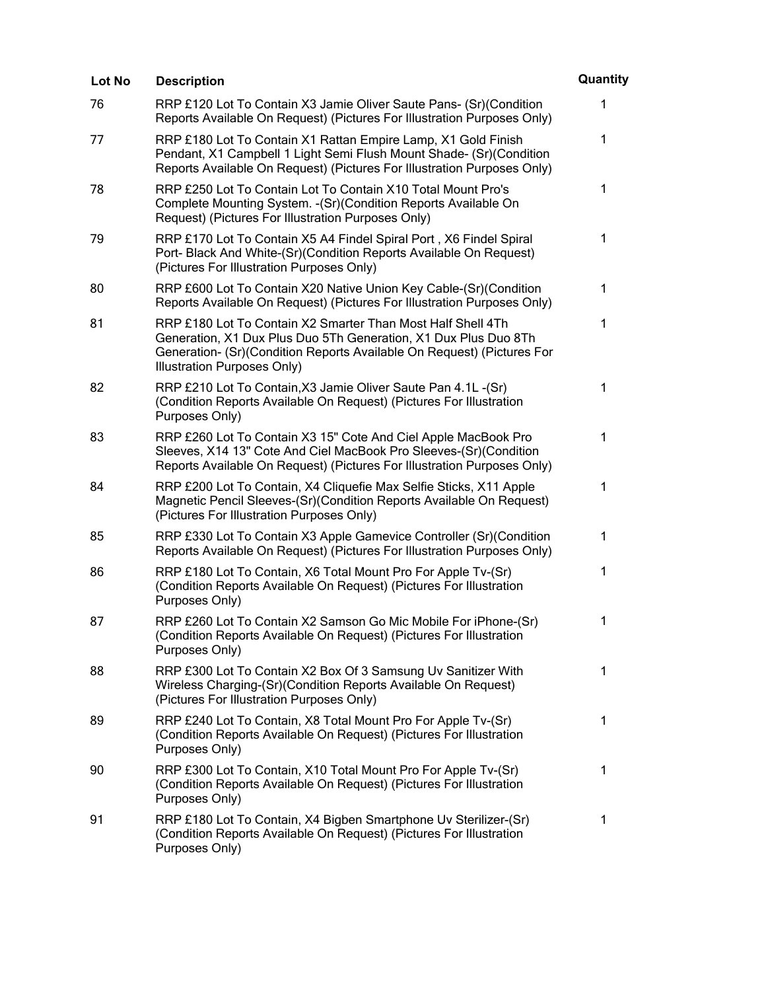| Lot No | <b>Description</b>                                                                                                                                                                                                                      | Quantity    |
|--------|-----------------------------------------------------------------------------------------------------------------------------------------------------------------------------------------------------------------------------------------|-------------|
| 76     | RRP £120 Lot To Contain X3 Jamie Oliver Saute Pans- (Sr) (Condition<br>Reports Available On Request) (Pictures For Illustration Purposes Only)                                                                                          | 1           |
| 77     | RRP £180 Lot To Contain X1 Rattan Empire Lamp, X1 Gold Finish<br>Pendant, X1 Campbell 1 Light Semi Flush Mount Shade- (Sr)(Condition<br>Reports Available On Request) (Pictures For Illustration Purposes Only)                         | 1           |
| 78     | RRP £250 Lot To Contain Lot To Contain X10 Total Mount Pro's<br>Complete Mounting System. - (Sr) (Condition Reports Available On<br>Request) (Pictures For Illustration Purposes Only)                                                  | 1           |
| 79     | RRP £170 Lot To Contain X5 A4 Findel Spiral Port, X6 Findel Spiral<br>Port- Black And White-(Sr)(Condition Reports Available On Request)<br>(Pictures For Illustration Purposes Only)                                                   | 1           |
| 80     | RRP £600 Lot To Contain X20 Native Union Key Cable-(Sr)(Condition<br>Reports Available On Request) (Pictures For Illustration Purposes Only)                                                                                            | 1           |
| 81     | RRP £180 Lot To Contain X2 Smarter Than Most Half Shell 4Th<br>Generation, X1 Dux Plus Duo 5Th Generation, X1 Dux Plus Duo 8Th<br>Generation- (Sr)(Condition Reports Available On Request) (Pictures For<br>Illustration Purposes Only) | $\mathbf 1$ |
| 82     | RRP £210 Lot To Contain, X3 Jamie Oliver Saute Pan 4.1L-(Sr)<br>(Condition Reports Available On Request) (Pictures For Illustration<br>Purposes Only)                                                                                   | 1           |
| 83     | RRP £260 Lot To Contain X3 15" Cote And Ciel Apple MacBook Pro<br>Sleeves, X14 13" Cote And Ciel MacBook Pro Sleeves-(Sr)(Condition<br>Reports Available On Request) (Pictures For Illustration Purposes Only)                          | 1           |
| 84     | RRP £200 Lot To Contain, X4 Cliquefie Max Selfie Sticks, X11 Apple<br>Magnetic Pencil Sleeves-(Sr)(Condition Reports Available On Request)<br>(Pictures For Illustration Purposes Only)                                                 | 1           |
| 85     | RRP £330 Lot To Contain X3 Apple Gamevice Controller (Sr) (Condition<br>Reports Available On Request) (Pictures For Illustration Purposes Only)                                                                                         | 1           |
| 86     | RRP £180 Lot To Contain, X6 Total Mount Pro For Apple Tv-(Sr)<br>(Condition Reports Available On Request) (Pictures For Illustration<br>Purposes Only)                                                                                  | 1           |
| 87     | RRP £260 Lot To Contain X2 Samson Go Mic Mobile For iPhone-(Sr)<br>(Condition Reports Available On Request) (Pictures For Illustration<br>Purposes Only)                                                                                | 1           |
| 88     | RRP £300 Lot To Contain X2 Box Of 3 Samsung Uv Sanitizer With<br>Wireless Charging-(Sr)(Condition Reports Available On Request)<br>(Pictures For Illustration Purposes Only)                                                            | 1           |
| 89     | RRP £240 Lot To Contain, X8 Total Mount Pro For Apple Tv-(Sr)<br>(Condition Reports Available On Request) (Pictures For Illustration<br>Purposes Only)                                                                                  | 1           |
| 90     | RRP £300 Lot To Contain, X10 Total Mount Pro For Apple Tv-(Sr)<br>(Condition Reports Available On Request) (Pictures For Illustration<br>Purposes Only)                                                                                 | 1           |
| 91     | RRP £180 Lot To Contain, X4 Bigben Smartphone Uv Sterilizer-(Sr)<br>(Condition Reports Available On Request) (Pictures For Illustration<br>Purposes Only)                                                                               | 1           |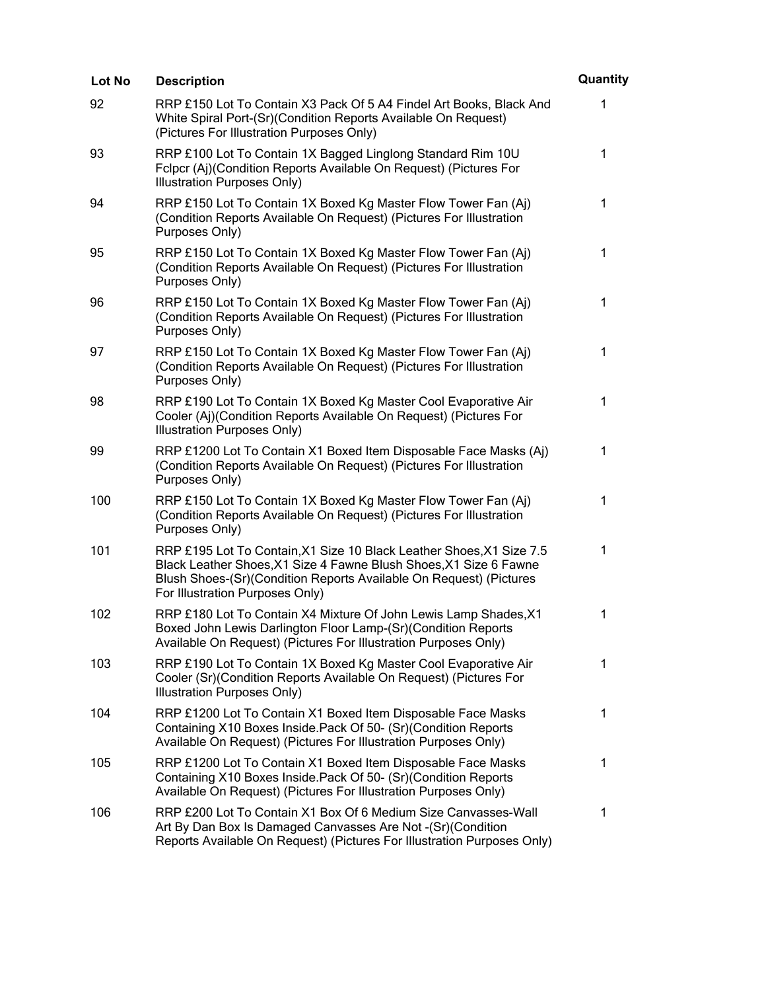| Lot No | <b>Description</b>                                                                                                                                                                                                                                 | Quantity    |
|--------|----------------------------------------------------------------------------------------------------------------------------------------------------------------------------------------------------------------------------------------------------|-------------|
| 92     | RRP £150 Lot To Contain X3 Pack Of 5 A4 Findel Art Books, Black And<br>White Spiral Port-(Sr)(Condition Reports Available On Request)<br>(Pictures For Illustration Purposes Only)                                                                 | 1           |
| 93     | RRP £100 Lot To Contain 1X Bagged Linglong Standard Rim 10U<br>Fclpcr (Aj)(Condition Reports Available On Request) (Pictures For<br>Illustration Purposes Only)                                                                                    | $\mathbf 1$ |
| 94     | RRP £150 Lot To Contain 1X Boxed Kg Master Flow Tower Fan (Aj)<br>(Condition Reports Available On Request) (Pictures For Illustration<br>Purposes Only)                                                                                            | $\mathbf 1$ |
| 95     | RRP £150 Lot To Contain 1X Boxed Kg Master Flow Tower Fan (Aj)<br>(Condition Reports Available On Request) (Pictures For Illustration<br>Purposes Only)                                                                                            | 1           |
| 96     | RRP £150 Lot To Contain 1X Boxed Kg Master Flow Tower Fan (Aj)<br>(Condition Reports Available On Request) (Pictures For Illustration<br>Purposes Only)                                                                                            | 1           |
| 97     | RRP £150 Lot To Contain 1X Boxed Kg Master Flow Tower Fan (Aj)<br>(Condition Reports Available On Request) (Pictures For Illustration<br>Purposes Only)                                                                                            | 1           |
| 98     | RRP £190 Lot To Contain 1X Boxed Kg Master Cool Evaporative Air<br>Cooler (Aj)(Condition Reports Available On Request) (Pictures For<br>Illustration Purposes Only)                                                                                | $\mathbf 1$ |
| 99     | RRP £1200 Lot To Contain X1 Boxed Item Disposable Face Masks (Aj)<br>(Condition Reports Available On Request) (Pictures For Illustration<br>Purposes Only)                                                                                         | 1           |
| 100    | RRP £150 Lot To Contain 1X Boxed Kg Master Flow Tower Fan (Aj)<br>(Condition Reports Available On Request) (Pictures For Illustration<br>Purposes Only)                                                                                            | $\mathbf 1$ |
| 101    | RRP £195 Lot To Contain, X1 Size 10 Black Leather Shoes, X1 Size 7.5<br>Black Leather Shoes, X1 Size 4 Fawne Blush Shoes, X1 Size 6 Fawne<br>Blush Shoes-(Sr)(Condition Reports Available On Request) (Pictures<br>For Illustration Purposes Only) | 1           |
| 102    | RRP £180 Lot To Contain X4 Mixture Of John Lewis Lamp Shades, X1<br>Boxed John Lewis Darlington Floor Lamp-(Sr)(Condition Reports<br>Available On Request) (Pictures For Illustration Purposes Only)                                               | 1           |
| 103    | RRP £190 Lot To Contain 1X Boxed Kg Master Cool Evaporative Air<br>Cooler (Sr) (Condition Reports Available On Request) (Pictures For<br>Illustration Purposes Only)                                                                               | 1           |
| 104    | RRP £1200 Lot To Contain X1 Boxed Item Disposable Face Masks<br>Containing X10 Boxes Inside. Pack Of 50- (Sr) (Condition Reports<br>Available On Request) (Pictures For Illustration Purposes Only)                                                | 1           |
| 105    | RRP £1200 Lot To Contain X1 Boxed Item Disposable Face Masks<br>Containing X10 Boxes Inside. Pack Of 50- (Sr) (Condition Reports<br>Available On Request) (Pictures For Illustration Purposes Only)                                                | 1           |
| 106    | RRP £200 Lot To Contain X1 Box Of 6 Medium Size Canvasses-Wall<br>Art By Dan Box Is Damaged Canvasses Are Not - (Sr) (Condition<br>Reports Available On Request) (Pictures For Illustration Purposes Only)                                         | 1           |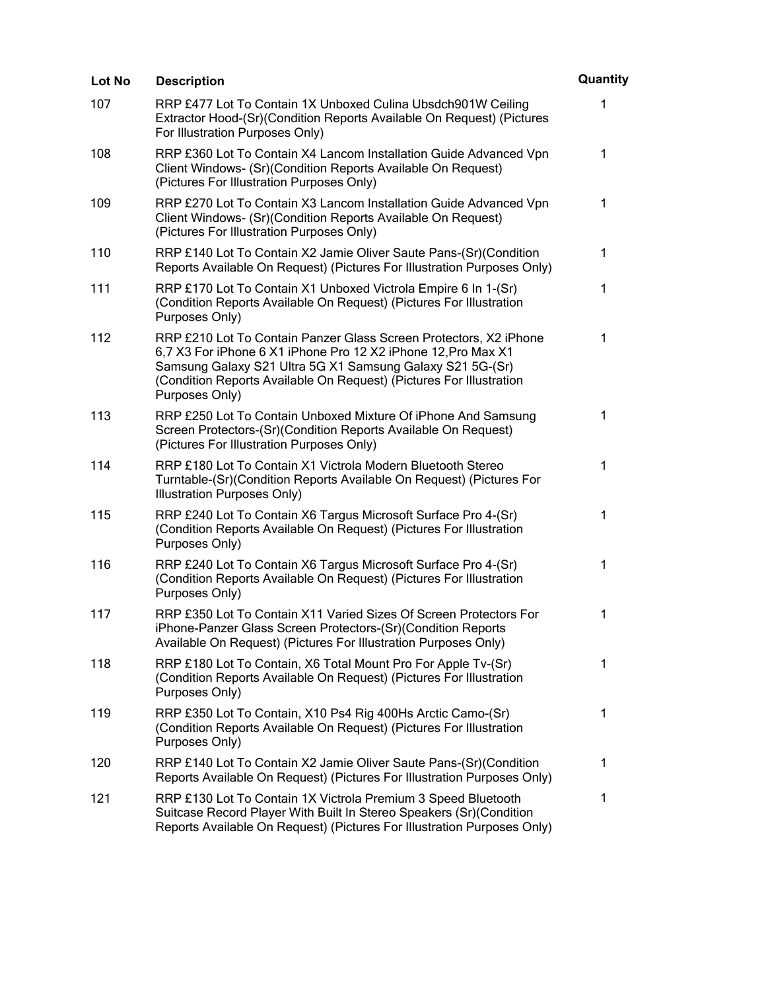| Lot No | <b>Description</b>                                                                                                                                                                                                                                                                       | Quantity     |
|--------|------------------------------------------------------------------------------------------------------------------------------------------------------------------------------------------------------------------------------------------------------------------------------------------|--------------|
| 107    | RRP £477 Lot To Contain 1X Unboxed Culina Ubsdch901W Ceiling<br>Extractor Hood-(Sr)(Condition Reports Available On Request) (Pictures<br>For Illustration Purposes Only)                                                                                                                 | 1            |
| 108    | RRP £360 Lot To Contain X4 Lancom Installation Guide Advanced Vpn<br>Client Windows- (Sr)(Condition Reports Available On Request)<br>(Pictures For Illustration Purposes Only)                                                                                                           | 1            |
| 109    | RRP £270 Lot To Contain X3 Lancom Installation Guide Advanced Vpn<br>Client Windows- (Sr)(Condition Reports Available On Request)<br>(Pictures For Illustration Purposes Only)                                                                                                           | $\mathbf{1}$ |
| 110    | RRP £140 Lot To Contain X2 Jamie Oliver Saute Pans-(Sr)(Condition<br>Reports Available On Request) (Pictures For Illustration Purposes Only)                                                                                                                                             | $\mathbf 1$  |
| 111    | RRP £170 Lot To Contain X1 Unboxed Victrola Empire 6 In 1-(Sr)<br>(Condition Reports Available On Request) (Pictures For Illustration<br>Purposes Only)                                                                                                                                  | 1            |
| 112    | RRP £210 Lot To Contain Panzer Glass Screen Protectors, X2 iPhone<br>6,7 X3 For iPhone 6 X1 iPhone Pro 12 X2 iPhone 12, Pro Max X1<br>Samsung Galaxy S21 Ultra 5G X1 Samsung Galaxy S21 5G-(Sr)<br>(Condition Reports Available On Request) (Pictures For Illustration<br>Purposes Only) | 1            |
| 113    | RRP £250 Lot To Contain Unboxed Mixture Of iPhone And Samsung<br>Screen Protectors-(Sr)(Condition Reports Available On Request)<br>(Pictures For Illustration Purposes Only)                                                                                                             | $\mathbf{1}$ |
| 114    | RRP £180 Lot To Contain X1 Victrola Modern Bluetooth Stereo<br>Turntable-(Sr)(Condition Reports Available On Request) (Pictures For<br>Illustration Purposes Only)                                                                                                                       | 1            |
| 115    | RRP £240 Lot To Contain X6 Targus Microsoft Surface Pro 4-(Sr)<br>(Condition Reports Available On Request) (Pictures For Illustration<br>Purposes Only)                                                                                                                                  | 1            |
| 116    | RRP £240 Lot To Contain X6 Targus Microsoft Surface Pro 4-(Sr)<br>(Condition Reports Available On Request) (Pictures For Illustration<br>Purposes Only)                                                                                                                                  | 1            |
| 117    | RRP £350 Lot To Contain X11 Varied Sizes Of Screen Protectors For<br>iPhone-Panzer Glass Screen Protectors-(Sr)(Condition Reports<br>Available On Request) (Pictures For Illustration Purposes Only)                                                                                     | 1            |
| 118    | RRP £180 Lot To Contain, X6 Total Mount Pro For Apple Tv-(Sr)<br>(Condition Reports Available On Request) (Pictures For Illustration<br>Purposes Only)                                                                                                                                   | 1            |
| 119    | RRP £350 Lot To Contain, X10 Ps4 Rig 400Hs Arctic Camo-(Sr)<br>(Condition Reports Available On Request) (Pictures For Illustration<br>Purposes Only)                                                                                                                                     | 1            |
| 120    | RRP £140 Lot To Contain X2 Jamie Oliver Saute Pans-(Sr)(Condition<br>Reports Available On Request) (Pictures For Illustration Purposes Only)                                                                                                                                             | 1            |
| 121    | RRP £130 Lot To Contain 1X Victrola Premium 3 Speed Bluetooth<br>Suitcase Record Player With Built In Stereo Speakers (Sr) (Condition<br>Reports Available On Request) (Pictures For Illustration Purposes Only)                                                                         | 1            |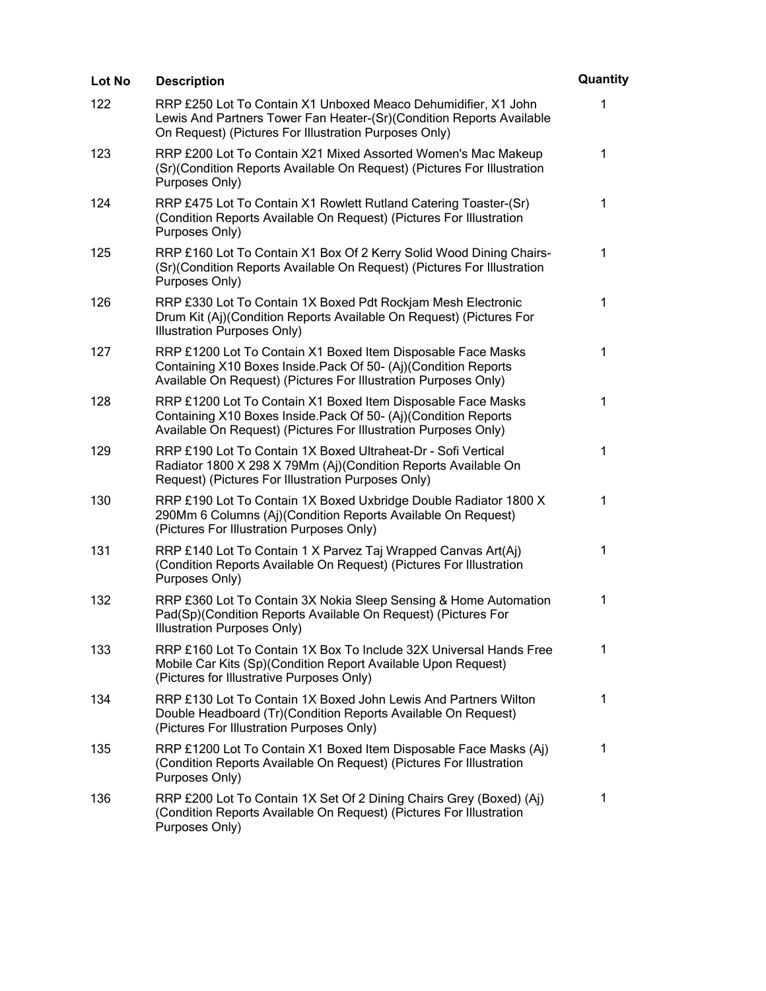| Lot No | <b>Description</b>                                                                                                                                                                                  | Quantity     |
|--------|-----------------------------------------------------------------------------------------------------------------------------------------------------------------------------------------------------|--------------|
| 122    | RRP £250 Lot To Contain X1 Unboxed Meaco Dehumidifier, X1 John<br>Lewis And Partners Tower Fan Heater-(Sr)(Condition Reports Available<br>On Request) (Pictures For Illustration Purposes Only)     | 1            |
| 123    | RRP £200 Lot To Contain X21 Mixed Assorted Women's Mac Makeup<br>(Sr) (Condition Reports Available On Request) (Pictures For Illustration<br>Purposes Only)                                         | 1            |
| 124    | RRP £475 Lot To Contain X1 Rowlett Rutland Catering Toaster-(Sr)<br>(Condition Reports Available On Request) (Pictures For Illustration<br>Purposes Only)                                           | $\mathbf{1}$ |
| 125    | RRP £160 Lot To Contain X1 Box Of 2 Kerry Solid Wood Dining Chairs-<br>(Sr)(Condition Reports Available On Request) (Pictures For Illustration<br>Purposes Only)                                    | 1            |
| 126    | RRP £330 Lot To Contain 1X Boxed Pdt Rockjam Mesh Electronic<br>Drum Kit (Aj)(Condition Reports Available On Request) (Pictures For<br>Illustration Purposes Only)                                  | 1            |
| 127    | RRP £1200 Lot To Contain X1 Boxed Item Disposable Face Masks<br>Containing X10 Boxes Inside. Pack Of 50- (Aj)(Condition Reports<br>Available On Request) (Pictures For Illustration Purposes Only)  | $\mathbf 1$  |
| 128    | RRP £1200 Lot To Contain X1 Boxed Item Disposable Face Masks<br>Containing X10 Boxes Inside. Pack Of 50- (Aj) (Condition Reports<br>Available On Request) (Pictures For Illustration Purposes Only) | 1            |
| 129    | RRP £190 Lot To Contain 1X Boxed Ultraheat-Dr - Sofi Vertical<br>Radiator 1800 X 298 X 79Mm (Aj)(Condition Reports Available On<br>Request) (Pictures For Illustration Purposes Only)               | 1            |
| 130    | RRP £190 Lot To Contain 1X Boxed Uxbridge Double Radiator 1800 X<br>290Mm 6 Columns (Aj)(Condition Reports Available On Request)<br>(Pictures For Illustration Purposes Only)                       | 1            |
| 131    | RRP £140 Lot To Contain 1 X Parvez Taj Wrapped Canvas Art(Aj)<br>(Condition Reports Available On Request) (Pictures For Illustration<br>Purposes Only)                                              | 1            |
| 132    | RRP £360 Lot To Contain 3X Nokia Sleep Sensing & Home Automation<br>Pad(Sp)(Condition Reports Available On Request) (Pictures For<br>Illustration Purposes Only)                                    | 1            |
| 133    | RRP £160 Lot To Contain 1X Box To Include 32X Universal Hands Free<br>Mobile Car Kits (Sp)(Condition Report Available Upon Request)<br>(Pictures for Illustrative Purposes Only)                    | 1            |
| 134    | RRP £130 Lot To Contain 1X Boxed John Lewis And Partners Wilton<br>Double Headboard (Tr)(Condition Reports Available On Request)<br>(Pictures For Illustration Purposes Only)                       | 1            |
| 135    | RRP £1200 Lot To Contain X1 Boxed Item Disposable Face Masks (Aj)<br>(Condition Reports Available On Request) (Pictures For Illustration<br>Purposes Only)                                          | 1            |
| 136    | RRP £200 Lot To Contain 1X Set Of 2 Dining Chairs Grey (Boxed) (Aj)<br>(Condition Reports Available On Request) (Pictures For Illustration<br>Purposes Only)                                        | $\mathbf 1$  |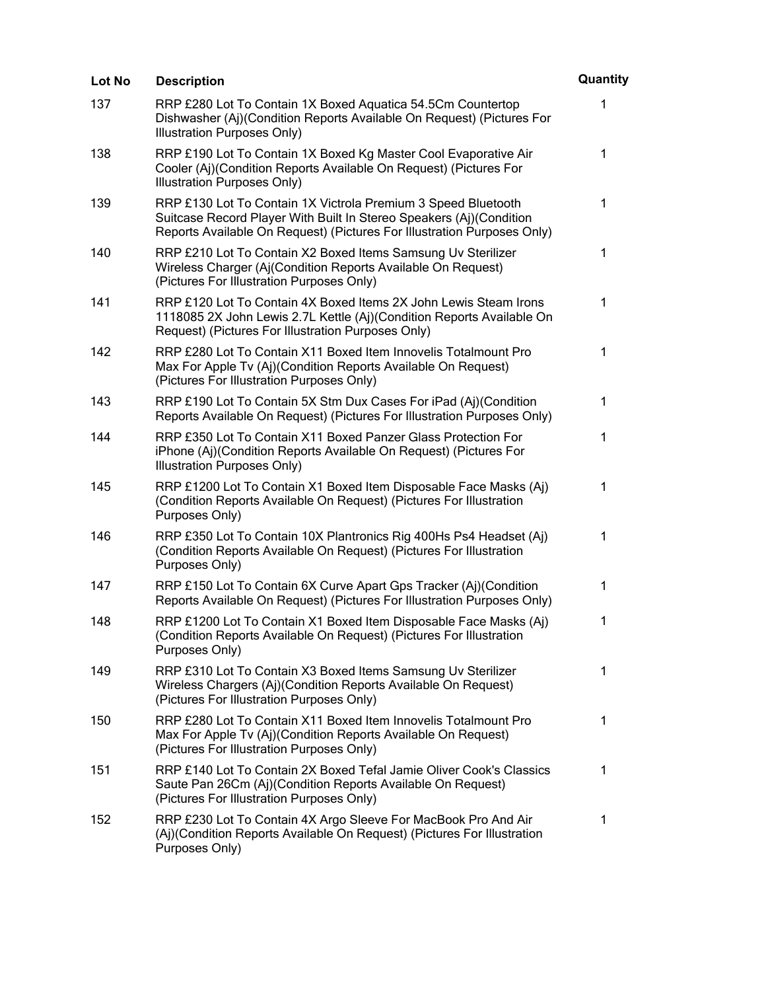| Lot No | <b>Description</b>                                                                                                                                                                                              | Quantity     |
|--------|-----------------------------------------------------------------------------------------------------------------------------------------------------------------------------------------------------------------|--------------|
| 137    | RRP £280 Lot To Contain 1X Boxed Aquatica 54.5Cm Countertop<br>Dishwasher (Aj)(Condition Reports Available On Request) (Pictures For<br>Illustration Purposes Only)                                             | 1            |
| 138    | RRP £190 Lot To Contain 1X Boxed Kg Master Cool Evaporative Air<br>Cooler (Aj)(Condition Reports Available On Request) (Pictures For<br>Illustration Purposes Only)                                             | 1            |
| 139    | RRP £130 Lot To Contain 1X Victrola Premium 3 Speed Bluetooth<br>Suitcase Record Player With Built In Stereo Speakers (Aj)(Condition<br>Reports Available On Request) (Pictures For Illustration Purposes Only) | 1            |
| 140    | RRP £210 Lot To Contain X2 Boxed Items Samsung Uv Sterilizer<br>Wireless Charger (Aj(Condition Reports Available On Request)<br>(Pictures For Illustration Purposes Only)                                       | 1            |
| 141    | RRP £120 Lot To Contain 4X Boxed Items 2X John Lewis Steam Irons<br>1118085 2X John Lewis 2.7L Kettle (Aj)(Condition Reports Available On<br>Request) (Pictures For Illustration Purposes Only)                 | 1            |
| 142    | RRP £280 Lot To Contain X11 Boxed Item Innovelis Totalmount Pro<br>Max For Apple Tv (Aj)(Condition Reports Available On Request)<br>(Pictures For Illustration Purposes Only)                                   | $\mathbf{1}$ |
| 143    | RRP £190 Lot To Contain 5X Stm Dux Cases For iPad (Aj)(Condition<br>Reports Available On Request) (Pictures For Illustration Purposes Only)                                                                     | 1            |
| 144    | RRP £350 Lot To Contain X11 Boxed Panzer Glass Protection For<br>iPhone (Aj)(Condition Reports Available On Request) (Pictures For<br>Illustration Purposes Only)                                               | 1            |
| 145    | RRP £1200 Lot To Contain X1 Boxed Item Disposable Face Masks (Aj)<br>(Condition Reports Available On Request) (Pictures For Illustration<br>Purposes Only)                                                      | 1            |
| 146    | RRP £350 Lot To Contain 10X Plantronics Rig 400Hs Ps4 Headset (Aj)<br>(Condition Reports Available On Request) (Pictures For Illustration<br>Purposes Only)                                                     | 1            |
| 147    | RRP £150 Lot To Contain 6X Curve Apart Gps Tracker (Aj)(Condition<br>Reports Available On Request) (Pictures For Illustration Purposes Only)                                                                    | 1            |
| 148    | RRP £1200 Lot To Contain X1 Boxed Item Disposable Face Masks (Aj)<br>(Condition Reports Available On Request) (Pictures For Illustration<br>Purposes Only)                                                      | 1            |
| 149    | RRP £310 Lot To Contain X3 Boxed Items Samsung Uv Sterilizer<br>Wireless Chargers (Aj)(Condition Reports Available On Request)<br>(Pictures For Illustration Purposes Only)                                     | 1            |
| 150    | RRP £280 Lot To Contain X11 Boxed Item Innovelis Totalmount Pro<br>Max For Apple Tv (Aj)(Condition Reports Available On Request)<br>(Pictures For Illustration Purposes Only)                                   | 1            |
| 151    | RRP £140 Lot To Contain 2X Boxed Tefal Jamie Oliver Cook's Classics<br>Saute Pan 26Cm (Aj)(Condition Reports Available On Request)<br>(Pictures For Illustration Purposes Only)                                 | 1            |
| 152    | RRP £230 Lot To Contain 4X Argo Sleeve For MacBook Pro And Air<br>(Aj)(Condition Reports Available On Request) (Pictures For Illustration<br>Purposes Only)                                                     | 1            |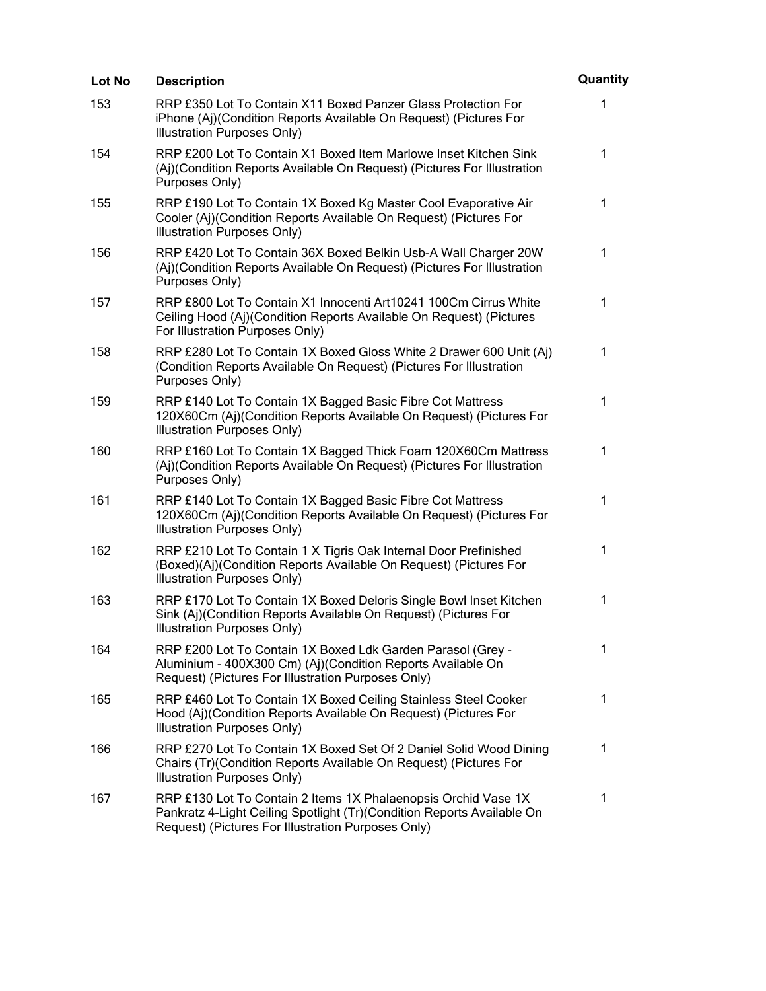| Lot No | <b>Description</b>                                                                                                                                                                             | Quantity    |
|--------|------------------------------------------------------------------------------------------------------------------------------------------------------------------------------------------------|-------------|
| 153    | RRP £350 Lot To Contain X11 Boxed Panzer Glass Protection For<br>iPhone (Aj)(Condition Reports Available On Request) (Pictures For<br>Illustration Purposes Only)                              | 1           |
| 154    | RRP £200 Lot To Contain X1 Boxed Item Marlowe Inset Kitchen Sink<br>(Aj)(Condition Reports Available On Request) (Pictures For Illustration<br>Purposes Only)                                  | $\mathbf 1$ |
| 155    | RRP £190 Lot To Contain 1X Boxed Kg Master Cool Evaporative Air<br>Cooler (Aj)(Condition Reports Available On Request) (Pictures For<br>Illustration Purposes Only)                            | $\mathbf 1$ |
| 156    | RRP £420 Lot To Contain 36X Boxed Belkin Usb-A Wall Charger 20W<br>(Aj)(Condition Reports Available On Request) (Pictures For Illustration<br>Purposes Only)                                   | 1           |
| 157    | RRP £800 Lot To Contain X1 Innocenti Art10241 100Cm Cirrus White<br>Ceiling Hood (Aj)(Condition Reports Available On Request) (Pictures<br>For Illustration Purposes Only)                     | $\mathbf 1$ |
| 158    | RRP £280 Lot To Contain 1X Boxed Gloss White 2 Drawer 600 Unit (Aj)<br>(Condition Reports Available On Request) (Pictures For Illustration<br>Purposes Only)                                   | 1           |
| 159    | RRP £140 Lot To Contain 1X Bagged Basic Fibre Cot Mattress<br>120X60Cm (Aj)(Condition Reports Available On Request) (Pictures For<br>Illustration Purposes Only)                               | $\mathbf 1$ |
| 160    | RRP £160 Lot To Contain 1X Bagged Thick Foam 120X60Cm Mattress<br>(Aj)(Condition Reports Available On Request) (Pictures For Illustration<br>Purposes Only)                                    | 1           |
| 161    | RRP £140 Lot To Contain 1X Bagged Basic Fibre Cot Mattress<br>120X60Cm (Aj)(Condition Reports Available On Request) (Pictures For<br>Illustration Purposes Only)                               | $\mathbf 1$ |
| 162    | RRP £210 Lot To Contain 1 X Tigris Oak Internal Door Prefinished<br>(Boxed)(Aj)(Condition Reports Available On Request) (Pictures For<br>Illustration Purposes Only)                           | 1           |
| 163    | RRP £170 Lot To Contain 1X Boxed Deloris Single Bowl Inset Kitchen<br>Sink (Aj)(Condition Reports Available On Request) (Pictures For<br>Illustration Purposes Only)                           | 1           |
| 164    | RRP £200 Lot To Contain 1X Boxed Ldk Garden Parasol (Grey -<br>Aluminium - 400X300 Cm) (Aj)(Condition Reports Available On<br>Request) (Pictures For Illustration Purposes Only)               | 1           |
| 165    | RRP £460 Lot To Contain 1X Boxed Ceiling Stainless Steel Cooker<br>Hood (Aj)(Condition Reports Available On Request) (Pictures For<br>Illustration Purposes Only)                              | $\mathbf 1$ |
| 166    | RRP £270 Lot To Contain 1X Boxed Set Of 2 Daniel Solid Wood Dining<br>Chairs (Tr)(Condition Reports Available On Request) (Pictures For<br>Illustration Purposes Only)                         | $\mathbf 1$ |
| 167    | RRP £130 Lot To Contain 2 Items 1X Phalaenopsis Orchid Vase 1X<br>Pankratz 4-Light Ceiling Spotlight (Tr)(Condition Reports Available On<br>Request) (Pictures For Illustration Purposes Only) | 1           |
|        |                                                                                                                                                                                                |             |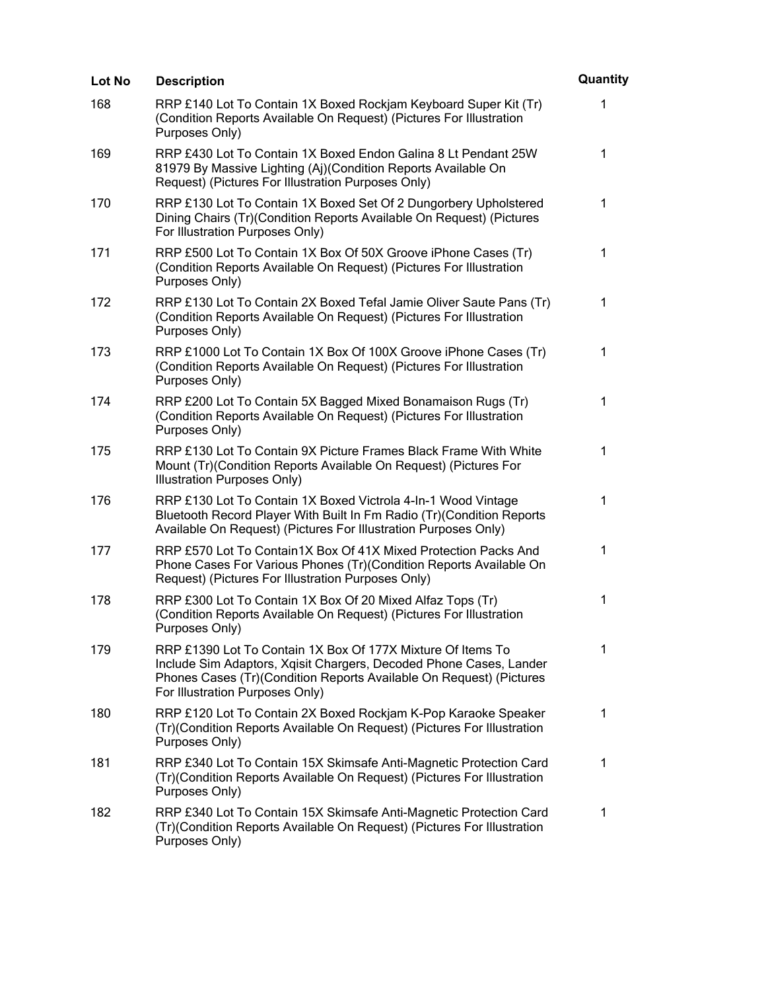| Lot No | <b>Description</b>                                                                                                                                                                                                                          | Quantity     |
|--------|---------------------------------------------------------------------------------------------------------------------------------------------------------------------------------------------------------------------------------------------|--------------|
| 168    | RRP £140 Lot To Contain 1X Boxed Rockjam Keyboard Super Kit (Tr)<br>(Condition Reports Available On Request) (Pictures For Illustration<br>Purposes Only)                                                                                   | 1            |
| 169    | RRP £430 Lot To Contain 1X Boxed Endon Galina 8 Lt Pendant 25W<br>81979 By Massive Lighting (Aj)(Condition Reports Available On<br>Request) (Pictures For Illustration Purposes Only)                                                       | 1            |
| 170    | RRP £130 Lot To Contain 1X Boxed Set Of 2 Dungorbery Upholstered<br>Dining Chairs (Tr)(Condition Reports Available On Request) (Pictures<br>For Illustration Purposes Only)                                                                 | $\mathbf{1}$ |
| 171    | RRP £500 Lot To Contain 1X Box Of 50X Groove iPhone Cases (Tr)<br>(Condition Reports Available On Request) (Pictures For Illustration<br>Purposes Only)                                                                                     | 1            |
| 172    | RRP £130 Lot To Contain 2X Boxed Tefal Jamie Oliver Saute Pans (Tr)<br>(Condition Reports Available On Request) (Pictures For Illustration<br>Purposes Only)                                                                                | 1            |
| 173    | RRP £1000 Lot To Contain 1X Box Of 100X Groove iPhone Cases (Tr)<br>(Condition Reports Available On Request) (Pictures For Illustration<br>Purposes Only)                                                                                   | 1            |
| 174    | RRP £200 Lot To Contain 5X Bagged Mixed Bonamaison Rugs (Tr)<br>(Condition Reports Available On Request) (Pictures For Illustration<br>Purposes Only)                                                                                       | $\mathbf 1$  |
| 175    | RRP £130 Lot To Contain 9X Picture Frames Black Frame With White<br>Mount (Tr) (Condition Reports Available On Request) (Pictures For<br>Illustration Purposes Only)                                                                        | $\mathbf 1$  |
| 176    | RRP £130 Lot To Contain 1X Boxed Victrola 4-In-1 Wood Vintage<br>Bluetooth Record Player With Built In Fm Radio (Tr)(Condition Reports<br>Available On Request) (Pictures For Illustration Purposes Only)                                   | 1            |
| 177    | RRP £570 Lot To Contain1X Box Of 41X Mixed Protection Packs And<br>Phone Cases For Various Phones (Tr)(Condition Reports Available On<br>Request) (Pictures For Illustration Purposes Only)                                                 | 1            |
| 178    | RRP £300 Lot To Contain 1X Box Of 20 Mixed Alfaz Tops (Tr)<br>(Condition Reports Available On Request) (Pictures For Illustration<br>Purposes Only)                                                                                         | 1            |
| 179    | RRP £1390 Lot To Contain 1X Box Of 177X Mixture Of Items To<br>Include Sim Adaptors, Xqisit Chargers, Decoded Phone Cases, Lander<br>Phones Cases (Tr)(Condition Reports Available On Request) (Pictures<br>For Illustration Purposes Only) | $\mathbf 1$  |
| 180    | RRP £120 Lot To Contain 2X Boxed Rockjam K-Pop Karaoke Speaker<br>(Tr)(Condition Reports Available On Request) (Pictures For Illustration<br>Purposes Only)                                                                                 | $\mathbf{1}$ |
| 181    | RRP £340 Lot To Contain 15X Skimsafe Anti-Magnetic Protection Card<br>(Tr)(Condition Reports Available On Request) (Pictures For Illustration<br>Purposes Only)                                                                             | $\mathbf 1$  |
| 182    | RRP £340 Lot To Contain 15X Skimsafe Anti-Magnetic Protection Card<br>(Tr)(Condition Reports Available On Request) (Pictures For Illustration<br>Purposes Only)                                                                             | $\mathbf 1$  |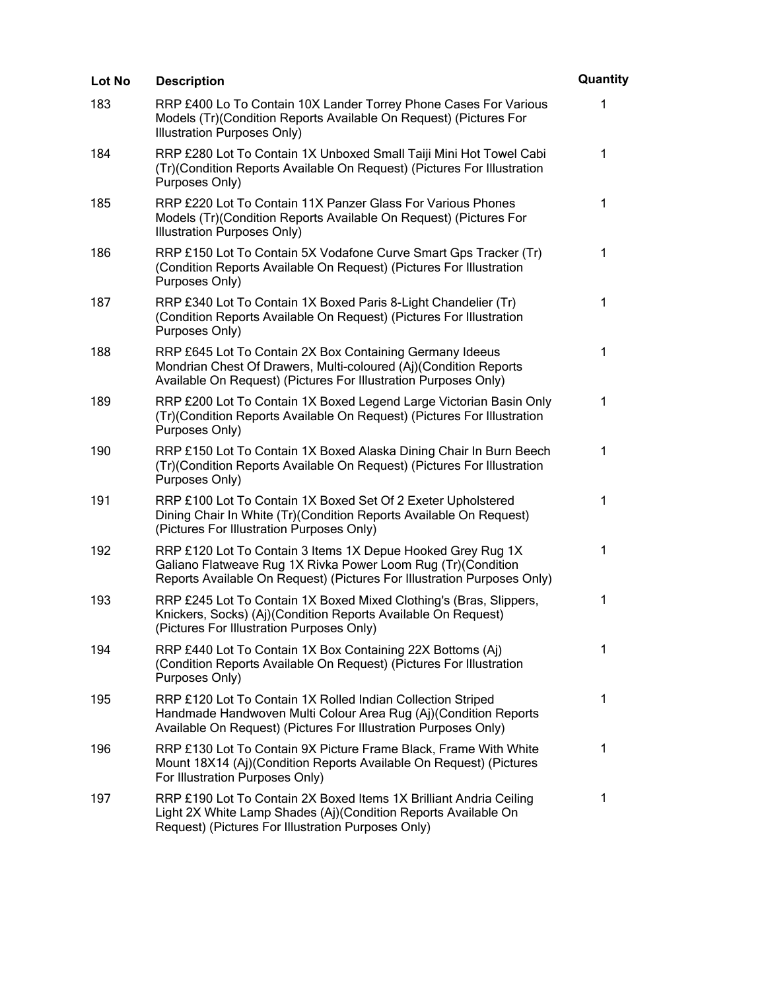| Lot No | <b>Description</b>                                                                                                                                                                                      | Quantity    |
|--------|---------------------------------------------------------------------------------------------------------------------------------------------------------------------------------------------------------|-------------|
| 183    | RRP £400 Lo To Contain 10X Lander Torrey Phone Cases For Various<br>Models (Tr)(Condition Reports Available On Request) (Pictures For<br>Illustration Purposes Only)                                    | 1           |
| 184    | RRP £280 Lot To Contain 1X Unboxed Small Taiji Mini Hot Towel Cabi<br>(Tr)(Condition Reports Available On Request) (Pictures For Illustration<br>Purposes Only)                                         | $\mathbf 1$ |
| 185    | RRP £220 Lot To Contain 11X Panzer Glass For Various Phones<br>Models (Tr)(Condition Reports Available On Request) (Pictures For<br>Illustration Purposes Only)                                         | $\mathbf 1$ |
| 186    | RRP £150 Lot To Contain 5X Vodafone Curve Smart Gps Tracker (Tr)<br>(Condition Reports Available On Request) (Pictures For Illustration<br>Purposes Only)                                               | 1           |
| 187    | RRP £340 Lot To Contain 1X Boxed Paris 8-Light Chandelier (Tr)<br>(Condition Reports Available On Request) (Pictures For Illustration<br>Purposes Only)                                                 | $\mathbf 1$ |
| 188    | RRP £645 Lot To Contain 2X Box Containing Germany Ideeus<br>Mondrian Chest Of Drawers, Multi-coloured (Aj)(Condition Reports<br>Available On Request) (Pictures For Illustration Purposes Only)         | 1           |
| 189    | RRP £200 Lot To Contain 1X Boxed Legend Large Victorian Basin Only<br>(Tr)(Condition Reports Available On Request) (Pictures For Illustration<br>Purposes Only)                                         | 1           |
| 190    | RRP £150 Lot To Contain 1X Boxed Alaska Dining Chair In Burn Beech<br>(Tr)(Condition Reports Available On Request) (Pictures For Illustration<br>Purposes Only)                                         | $\mathbf 1$ |
| 191    | RRP £100 Lot To Contain 1X Boxed Set Of 2 Exeter Upholstered<br>Dining Chair In White (Tr) (Condition Reports Available On Request)<br>(Pictures For Illustration Purposes Only)                        | $\mathbf 1$ |
| 192    | RRP £120 Lot To Contain 3 Items 1X Depue Hooked Grey Rug 1X<br>Galiano Flatweave Rug 1X Rivka Power Loom Rug (Tr) (Condition<br>Reports Available On Request) (Pictures For Illustration Purposes Only) | 1           |
| 193    | RRP £245 Lot To Contain 1X Boxed Mixed Clothing's (Bras, Slippers,<br>Knickers, Socks) (Aj)(Condition Reports Available On Request)<br>(Pictures For Illustration Purposes Only)                        | 1           |
| 194    | RRP £440 Lot To Contain 1X Box Containing 22X Bottoms (Aj)<br>(Condition Reports Available On Request) (Pictures For Illustration<br>Purposes Only)                                                     | $\mathbf 1$ |
| 195    | RRP £120 Lot To Contain 1X Rolled Indian Collection Striped<br>Handmade Handwoven Multi Colour Area Rug (Aj)(Condition Reports<br>Available On Request) (Pictures For Illustration Purposes Only)       | $\mathbf 1$ |
| 196    | RRP £130 Lot To Contain 9X Picture Frame Black, Frame With White<br>Mount 18X14 (Aj)(Condition Reports Available On Request) (Pictures<br>For Illustration Purposes Only)                               | 1           |
| 197    | RRP £190 Lot To Contain 2X Boxed Items 1X Brilliant Andria Ceiling<br>Light 2X White Lamp Shades (Aj)(Condition Reports Available On<br>Request) (Pictures For Illustration Purposes Only)              | 1           |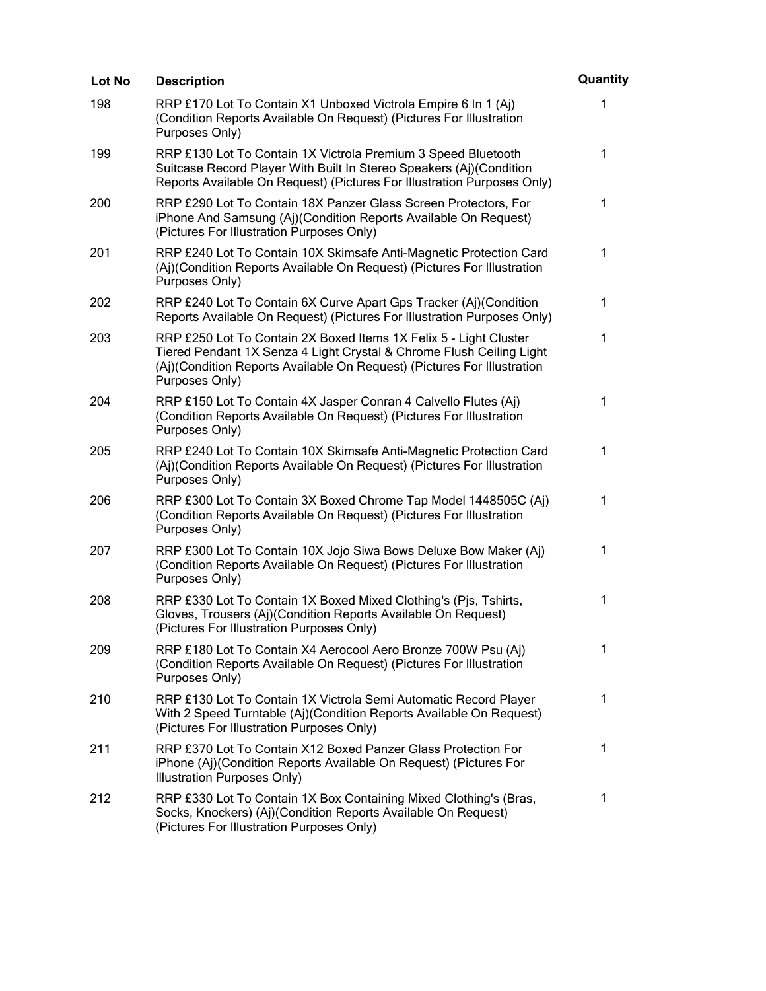| Lot No | <b>Description</b>                                                                                                                                                                                                                     | Quantity    |
|--------|----------------------------------------------------------------------------------------------------------------------------------------------------------------------------------------------------------------------------------------|-------------|
| 198    | RRP £170 Lot To Contain X1 Unboxed Victrola Empire 6 In 1 (Aj)<br>(Condition Reports Available On Request) (Pictures For Illustration<br>Purposes Only)                                                                                | 1           |
| 199    | RRP £130 Lot To Contain 1X Victrola Premium 3 Speed Bluetooth<br>Suitcase Record Player With Built In Stereo Speakers (Aj)(Condition<br>Reports Available On Request) (Pictures For Illustration Purposes Only)                        | 1           |
| 200    | RRP £290 Lot To Contain 18X Panzer Glass Screen Protectors, For<br>iPhone And Samsung (Aj)(Condition Reports Available On Request)<br>(Pictures For Illustration Purposes Only)                                                        | $\mathbf 1$ |
| 201    | RRP £240 Lot To Contain 10X Skimsafe Anti-Magnetic Protection Card<br>(Aj)(Condition Reports Available On Request) (Pictures For Illustration<br>Purposes Only)                                                                        | $\mathbf 1$ |
| 202    | RRP £240 Lot To Contain 6X Curve Apart Gps Tracker (Aj)(Condition<br>Reports Available On Request) (Pictures For Illustration Purposes Only)                                                                                           | 1           |
| 203    | RRP £250 Lot To Contain 2X Boxed Items 1X Felix 5 - Light Cluster<br>Tiered Pendant 1X Senza 4 Light Crystal & Chrome Flush Ceiling Light<br>(Aj)(Condition Reports Available On Request) (Pictures For Illustration<br>Purposes Only) | 1           |
| 204    | RRP £150 Lot To Contain 4X Jasper Conran 4 Calvello Flutes (Aj)<br>(Condition Reports Available On Request) (Pictures For Illustration<br>Purposes Only)                                                                               | 1           |
| 205    | RRP £240 Lot To Contain 10X Skimsafe Anti-Magnetic Protection Card<br>(Aj)(Condition Reports Available On Request) (Pictures For Illustration<br>Purposes Only)                                                                        | 1           |
| 206    | RRP £300 Lot To Contain 3X Boxed Chrome Tap Model 1448505C (Aj)<br>(Condition Reports Available On Request) (Pictures For Illustration<br>Purposes Only)                                                                               | 1           |
| 207    | RRP £300 Lot To Contain 10X Jojo Siwa Bows Deluxe Bow Maker (Aj)<br>(Condition Reports Available On Request) (Pictures For Illustration<br>Purposes Only)                                                                              | 1           |
| 208    | RRP £330 Lot To Contain 1X Boxed Mixed Clothing's (Pjs, Tshirts,<br>Gloves, Trousers (Aj)(Condition Reports Available On Request)<br>(Pictures For Illustration Purposes Only)                                                         | 1           |
| 209    | RRP £180 Lot To Contain X4 Aerocool Aero Bronze 700W Psu (Aj)<br>(Condition Reports Available On Request) (Pictures For Illustration<br>Purposes Only)                                                                                 | $\mathbf 1$ |
| 210    | RRP £130 Lot To Contain 1X Victrola Semi Automatic Record Player<br>With 2 Speed Turntable (Aj)(Condition Reports Available On Request)<br>(Pictures For Illustration Purposes Only)                                                   | $\mathbf 1$ |
| 211    | RRP £370 Lot To Contain X12 Boxed Panzer Glass Protection For<br>iPhone (Aj)(Condition Reports Available On Request) (Pictures For<br>Illustration Purposes Only)                                                                      | 1           |
| 212    | RRP £330 Lot To Contain 1X Box Containing Mixed Clothing's (Bras,<br>Socks, Knockers) (Aj)(Condition Reports Available On Request)<br>(Pictures For Illustration Purposes Only)                                                        | 1           |
|        |                                                                                                                                                                                                                                        |             |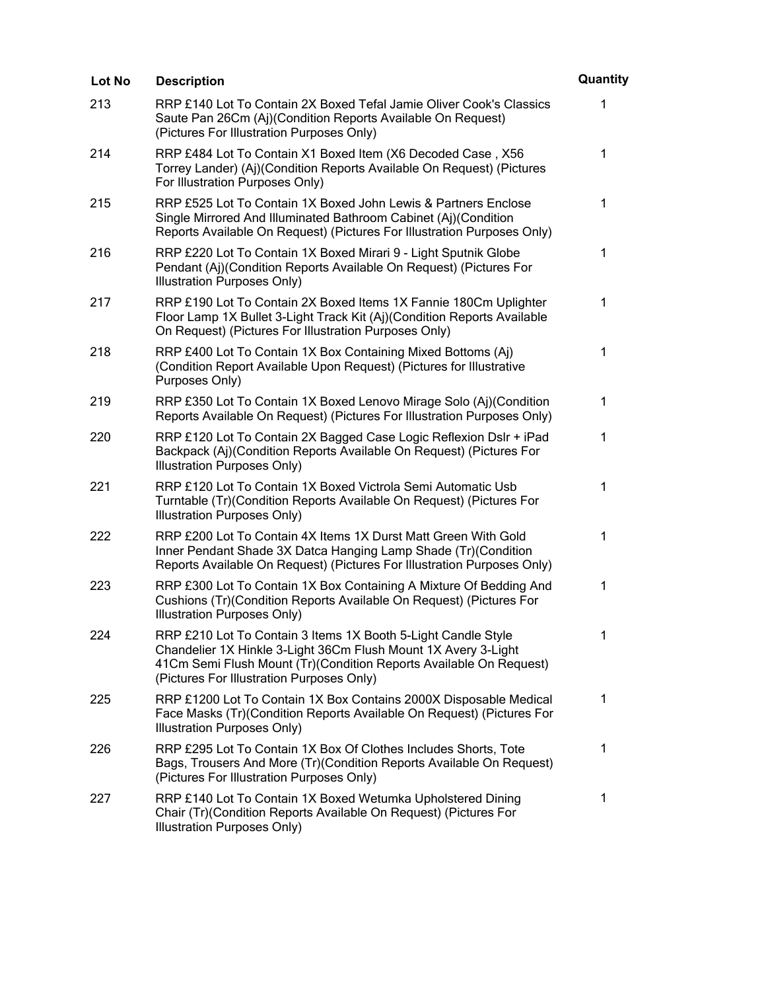| Lot No | <b>Description</b>                                                                                                                                                                                                                                 | Quantity     |
|--------|----------------------------------------------------------------------------------------------------------------------------------------------------------------------------------------------------------------------------------------------------|--------------|
| 213    | RRP £140 Lot To Contain 2X Boxed Tefal Jamie Oliver Cook's Classics<br>Saute Pan 26Cm (Aj)(Condition Reports Available On Request)<br>(Pictures For Illustration Purposes Only)                                                                    | 1            |
| 214    | RRP £484 Lot To Contain X1 Boxed Item (X6 Decoded Case, X56<br>Torrey Lander) (Aj)(Condition Reports Available On Request) (Pictures<br>For Illustration Purposes Only)                                                                            | 1            |
| 215    | RRP £525 Lot To Contain 1X Boxed John Lewis & Partners Enclose<br>Single Mirrored And Illuminated Bathroom Cabinet (Aj)(Condition<br>Reports Available On Request) (Pictures For Illustration Purposes Only)                                       | $\mathbf{1}$ |
| 216    | RRP £220 Lot To Contain 1X Boxed Mirari 9 - Light Sputnik Globe<br>Pendant (Aj)(Condition Reports Available On Request) (Pictures For<br>Illustration Purposes Only)                                                                               | 1            |
| 217    | RRP £190 Lot To Contain 2X Boxed Items 1X Fannie 180Cm Uplighter<br>Floor Lamp 1X Bullet 3-Light Track Kit (Aj)(Condition Reports Available<br>On Request) (Pictures For Illustration Purposes Only)                                               | 1            |
| 218    | RRP £400 Lot To Contain 1X Box Containing Mixed Bottoms (Aj)<br>(Condition Report Available Upon Request) (Pictures for Illustrative<br>Purposes Only)                                                                                             | 1            |
| 219    | RRP £350 Lot To Contain 1X Boxed Lenovo Mirage Solo (Aj)(Condition<br>Reports Available On Request) (Pictures For Illustration Purposes Only)                                                                                                      | 1            |
| 220    | RRP £120 Lot To Contain 2X Bagged Case Logic Reflexion Dslr + iPad<br>Backpack (Aj)(Condition Reports Available On Request) (Pictures For<br>Illustration Purposes Only)                                                                           | 1            |
| 221    | RRP £120 Lot To Contain 1X Boxed Victrola Semi Automatic Usb<br>Turntable (Tr)(Condition Reports Available On Request) (Pictures For<br>Illustration Purposes Only)                                                                                | 1            |
| 222    | RRP £200 Lot To Contain 4X Items 1X Durst Matt Green With Gold<br>Inner Pendant Shade 3X Datca Hanging Lamp Shade (Tr)(Condition<br>Reports Available On Request) (Pictures For Illustration Purposes Only)                                        | 1            |
| 223    | RRP £300 Lot To Contain 1X Box Containing A Mixture Of Bedding And<br>Cushions (Tr)(Condition Reports Available On Request) (Pictures For<br>Illustration Purposes Only)                                                                           | 1            |
| 224    | RRP £210 Lot To Contain 3 Items 1X Booth 5-Light Candle Style<br>Chandelier 1X Hinkle 3-Light 36Cm Flush Mount 1X Avery 3-Light<br>41Cm Semi Flush Mount (Tr)(Condition Reports Available On Request)<br>(Pictures For Illustration Purposes Only) | 1            |
| 225    | RRP £1200 Lot To Contain 1X Box Contains 2000X Disposable Medical<br>Face Masks (Tr)(Condition Reports Available On Request) (Pictures For<br>Illustration Purposes Only)                                                                          | $\mathbf 1$  |
| 226    | RRP £295 Lot To Contain 1X Box Of Clothes Includes Shorts, Tote<br>Bags, Trousers And More (Tr) (Condition Reports Available On Request)<br>(Pictures For Illustration Purposes Only)                                                              | 1            |
| 227    | RRP £140 Lot To Contain 1X Boxed Wetumka Upholstered Dining<br>Chair (Tr) (Condition Reports Available On Request) (Pictures For<br>Illustration Purposes Only)                                                                                    | 1            |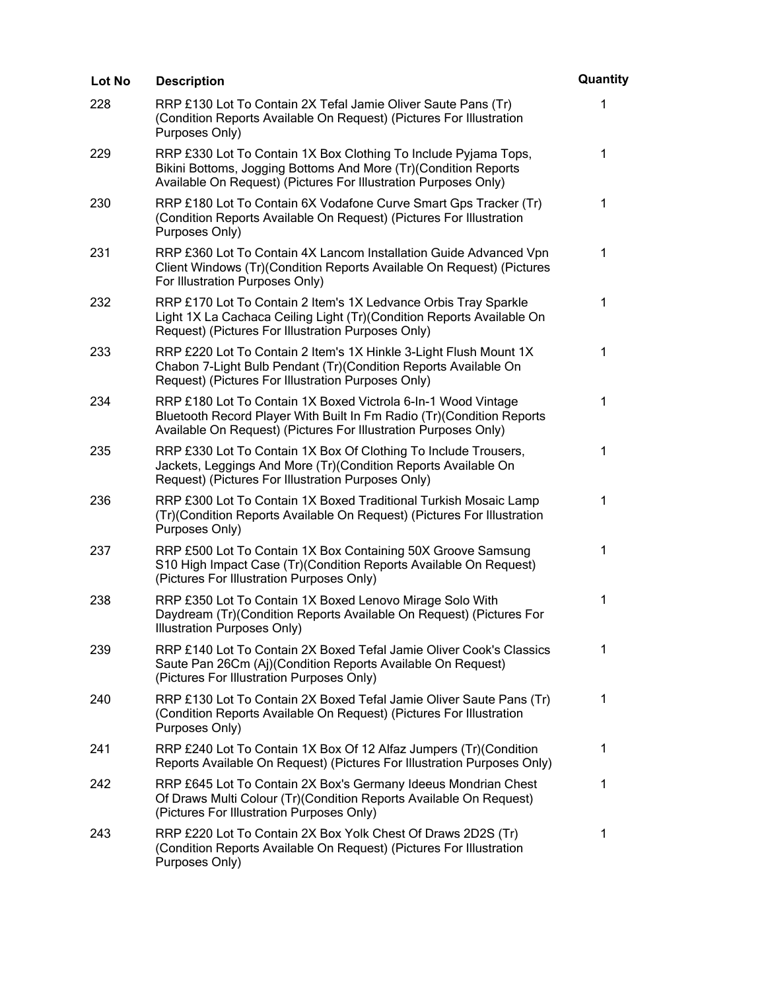| Lot No | <b>Description</b>                                                                                                                                                                                        | Quantity    |
|--------|-----------------------------------------------------------------------------------------------------------------------------------------------------------------------------------------------------------|-------------|
| 228    | RRP £130 Lot To Contain 2X Tefal Jamie Oliver Saute Pans (Tr)<br>(Condition Reports Available On Request) (Pictures For Illustration<br>Purposes Only)                                                    | 1           |
| 229    | RRP £330 Lot To Contain 1X Box Clothing To Include Pyjama Tops,<br>Bikini Bottoms, Jogging Bottoms And More (Tr)(Condition Reports<br>Available On Request) (Pictures For Illustration Purposes Only)     | 1           |
| 230    | RRP £180 Lot To Contain 6X Vodafone Curve Smart Gps Tracker (Tr)<br>(Condition Reports Available On Request) (Pictures For Illustration<br>Purposes Only)                                                 | $\mathbf 1$ |
| 231    | RRP £360 Lot To Contain 4X Lancom Installation Guide Advanced Vpn<br>Client Windows (Tr)(Condition Reports Available On Request) (Pictures<br>For Illustration Purposes Only)                             | 1           |
| 232    | RRP £170 Lot To Contain 2 Item's 1X Ledvance Orbis Tray Sparkle<br>Light 1X La Cachaca Ceiling Light (Tr)(Condition Reports Available On<br>Request) (Pictures For Illustration Purposes Only)            | $\mathbf 1$ |
| 233    | RRP £220 Lot To Contain 2 Item's 1X Hinkle 3-Light Flush Mount 1X<br>Chabon 7-Light Bulb Pendant (Tr)(Condition Reports Available On<br>Request) (Pictures For Illustration Purposes Only)                | 1           |
| 234    | RRP £180 Lot To Contain 1X Boxed Victrola 6-In-1 Wood Vintage<br>Bluetooth Record Player With Built In Fm Radio (Tr)(Condition Reports<br>Available On Request) (Pictures For Illustration Purposes Only) | 1           |
| 235    | RRP £330 Lot To Contain 1X Box Of Clothing To Include Trousers,<br>Jackets, Leggings And More (Tr)(Condition Reports Available On<br>Request) (Pictures For Illustration Purposes Only)                   | 1           |
| 236    | RRP £300 Lot To Contain 1X Boxed Traditional Turkish Mosaic Lamp<br>(Tr)(Condition Reports Available On Request) (Pictures For Illustration<br>Purposes Only)                                             | 1           |
| 237    | RRP £500 Lot To Contain 1X Box Containing 50X Groove Samsung<br>S10 High Impact Case (Tr)(Condition Reports Available On Request)<br>(Pictures For Illustration Purposes Only)                            | $\mathbf 1$ |
| 238    | RRP £350 Lot To Contain 1X Boxed Lenovo Mirage Solo With<br>Daydream (Tr)(Condition Reports Available On Request) (Pictures For<br><b>Illustration Purposes Only)</b>                                     | 1           |
| 239    | RRP £140 Lot To Contain 2X Boxed Tefal Jamie Oliver Cook's Classics<br>Saute Pan 26Cm (Aj)(Condition Reports Available On Request)<br>(Pictures For Illustration Purposes Only)                           | 1           |
| 240    | RRP £130 Lot To Contain 2X Boxed Tefal Jamie Oliver Saute Pans (Tr)<br>(Condition Reports Available On Request) (Pictures For Illustration<br>Purposes Only)                                              | 1           |
| 241    | RRP £240 Lot To Contain 1X Box Of 12 Alfaz Jumpers (Tr) (Condition<br>Reports Available On Request) (Pictures For Illustration Purposes Only)                                                             | 1           |
| 242    | RRP £645 Lot To Contain 2X Box's Germany Ideeus Mondrian Chest<br>Of Draws Multi Colour (Tr) (Condition Reports Available On Request)<br>(Pictures For Illustration Purposes Only)                        | 1           |
| 243    | RRP £220 Lot To Contain 2X Box Yolk Chest Of Draws 2D2S (Tr)<br>(Condition Reports Available On Request) (Pictures For Illustration<br>Purposes Only)                                                     | 1           |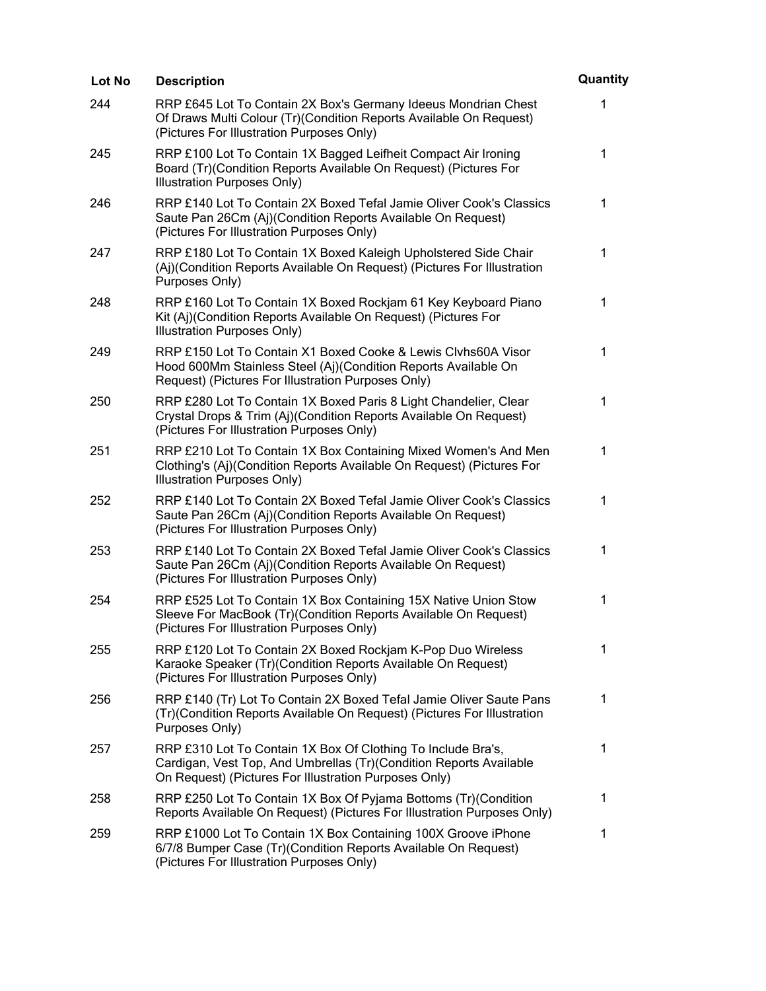| <b>Lot No</b> | <b>Description</b>                                                                                                                                                                          | Quantity    |
|---------------|---------------------------------------------------------------------------------------------------------------------------------------------------------------------------------------------|-------------|
| 244           | RRP £645 Lot To Contain 2X Box's Germany Ideeus Mondrian Chest<br>Of Draws Multi Colour (Tr)(Condition Reports Available On Request)<br>(Pictures For Illustration Purposes Only)           | 1           |
| 245           | RRP £100 Lot To Contain 1X Bagged Leifheit Compact Air Ironing<br>Board (Tr)(Condition Reports Available On Request) (Pictures For<br>Illustration Purposes Only)                           | $\mathbf 1$ |
| 246           | RRP £140 Lot To Contain 2X Boxed Tefal Jamie Oliver Cook's Classics<br>Saute Pan 26Cm (Aj)(Condition Reports Available On Request)<br>(Pictures For Illustration Purposes Only)             | 1           |
| 247           | RRP £180 Lot To Contain 1X Boxed Kaleigh Upholstered Side Chair<br>(Aj)(Condition Reports Available On Request) (Pictures For Illustration<br>Purposes Only)                                | 1           |
| 248           | RRP £160 Lot To Contain 1X Boxed Rockjam 61 Key Keyboard Piano<br>Kit (Aj)(Condition Reports Available On Request) (Pictures For<br>Illustration Purposes Only)                             | 1           |
| 249           | RRP £150 Lot To Contain X1 Boxed Cooke & Lewis Clvhs60A Visor<br>Hood 600Mm Stainless Steel (Aj)(Condition Reports Available On<br>Request) (Pictures For Illustration Purposes Only)       | 1           |
| 250           | RRP £280 Lot To Contain 1X Boxed Paris 8 Light Chandelier, Clear<br>Crystal Drops & Trim (Aj)(Condition Reports Available On Request)<br>(Pictures For Illustration Purposes Only)          | 1           |
| 251           | RRP £210 Lot To Contain 1X Box Containing Mixed Women's And Men<br>Clothing's (Aj)(Condition Reports Available On Request) (Pictures For<br>Illustration Purposes Only)                     | 1           |
| 252           | RRP £140 Lot To Contain 2X Boxed Tefal Jamie Oliver Cook's Classics<br>Saute Pan 26Cm (Aj)(Condition Reports Available On Request)<br>(Pictures For Illustration Purposes Only)             | 1           |
| 253           | RRP £140 Lot To Contain 2X Boxed Tefal Jamie Oliver Cook's Classics<br>Saute Pan 26Cm (Aj)(Condition Reports Available On Request)<br>(Pictures For Illustration Purposes Only)             | 1           |
| 254           | RRP £525 Lot To Contain 1X Box Containing 15X Native Union Stow<br>Sleeve For MacBook (Tr)(Condition Reports Available On Request)<br>(Pictures For Illustration Purposes Only)             | 1           |
| 255           | RRP £120 Lot To Contain 2X Boxed Rockjam K-Pop Duo Wireless<br>Karaoke Speaker (Tr)(Condition Reports Available On Request)<br>(Pictures For Illustration Purposes Only)                    | 1           |
| 256           | RRP £140 (Tr) Lot To Contain 2X Boxed Tefal Jamie Oliver Saute Pans<br>(Tr)(Condition Reports Available On Request) (Pictures For Illustration<br>Purposes Only)                            | 1           |
| 257           | RRP £310 Lot To Contain 1X Box Of Clothing To Include Bra's,<br>Cardigan, Vest Top, And Umbrellas (Tr)(Condition Reports Available<br>On Request) (Pictures For Illustration Purposes Only) | 1           |
| 258           | RRP £250 Lot To Contain 1X Box Of Pyjama Bottoms (Tr)(Condition<br>Reports Available On Request) (Pictures For Illustration Purposes Only)                                                  | 1           |
| 259           | RRP £1000 Lot To Contain 1X Box Containing 100X Groove iPhone<br>6/7/8 Bumper Case (Tr)(Condition Reports Available On Request)<br>(Pictures For Illustration Purposes Only)                | 1           |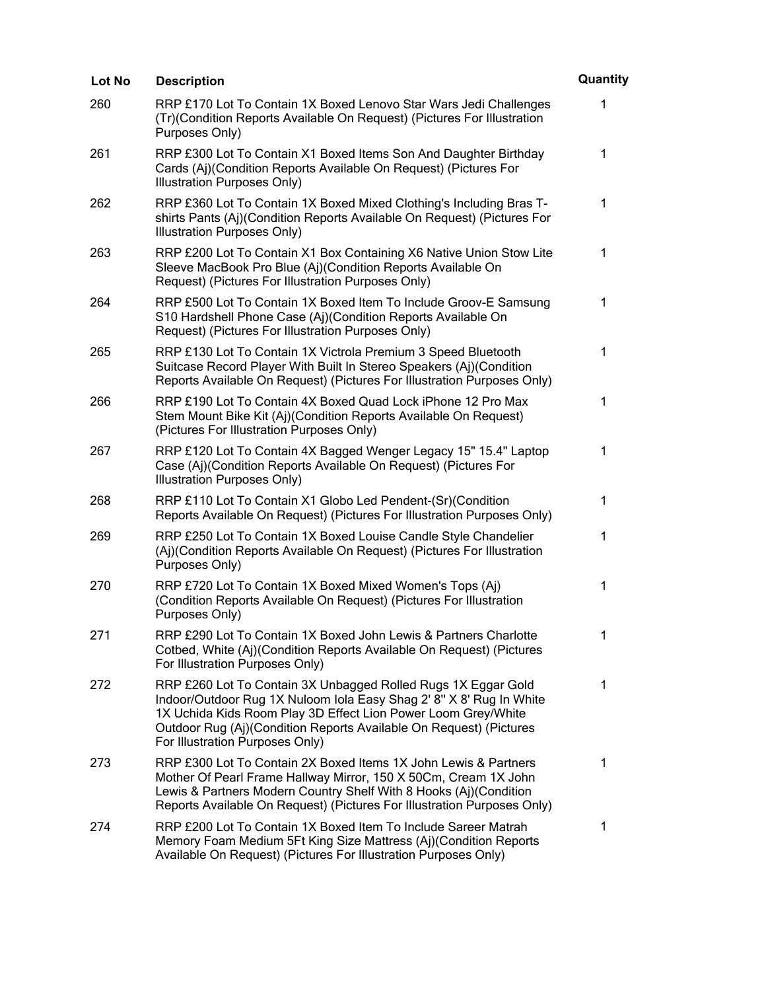| Lot No | <b>Description</b>                                                                                                                                                                                                                                                                                             | Quantity     |
|--------|----------------------------------------------------------------------------------------------------------------------------------------------------------------------------------------------------------------------------------------------------------------------------------------------------------------|--------------|
| 260    | RRP £170 Lot To Contain 1X Boxed Lenovo Star Wars Jedi Challenges<br>(Tr)(Condition Reports Available On Request) (Pictures For Illustration<br>Purposes Only)                                                                                                                                                 | 1            |
| 261    | RRP £300 Lot To Contain X1 Boxed Items Son And Daughter Birthday<br>Cards (Aj)(Condition Reports Available On Request) (Pictures For<br>Illustration Purposes Only)                                                                                                                                            | 1            |
| 262    | RRP £360 Lot To Contain 1X Boxed Mixed Clothing's Including Bras T-<br>shirts Pants (Aj)(Condition Reports Available On Request) (Pictures For<br>Illustration Purposes Only)                                                                                                                                  | $\mathbf{1}$ |
| 263    | RRP £200 Lot To Contain X1 Box Containing X6 Native Union Stow Lite<br>Sleeve MacBook Pro Blue (Aj)(Condition Reports Available On<br>Request) (Pictures For Illustration Purposes Only)                                                                                                                       | 1            |
| 264    | RRP £500 Lot To Contain 1X Boxed Item To Include Groov-E Samsung<br>S10 Hardshell Phone Case (Aj)(Condition Reports Available On<br>Request) (Pictures For Illustration Purposes Only)                                                                                                                         | 1            |
| 265    | RRP £130 Lot To Contain 1X Victrola Premium 3 Speed Bluetooth<br>Suitcase Record Player With Built In Stereo Speakers (Aj)(Condition<br>Reports Available On Request) (Pictures For Illustration Purposes Only)                                                                                                | 1            |
| 266    | RRP £190 Lot To Contain 4X Boxed Quad Lock iPhone 12 Pro Max<br>Stem Mount Bike Kit (Aj)(Condition Reports Available On Request)<br>(Pictures For Illustration Purposes Only)                                                                                                                                  | 1            |
| 267    | RRP £120 Lot To Contain 4X Bagged Wenger Legacy 15" 15.4" Laptop<br>Case (Aj)(Condition Reports Available On Request) (Pictures For<br>Illustration Purposes Only)                                                                                                                                             | 1            |
| 268    | RRP £110 Lot To Contain X1 Globo Led Pendent-(Sr)(Condition<br>Reports Available On Request) (Pictures For Illustration Purposes Only)                                                                                                                                                                         | 1            |
| 269    | RRP £250 Lot To Contain 1X Boxed Louise Candle Style Chandelier<br>(Aj)(Condition Reports Available On Request) (Pictures For Illustration<br>Purposes Only)                                                                                                                                                   | 1            |
| 270    | RRP £720 Lot To Contain 1X Boxed Mixed Women's Tops (Aj)<br>(Condition Reports Available On Request) (Pictures For Illustration<br>Purposes Only)                                                                                                                                                              | 1            |
| 271    | RRP £290 Lot To Contain 1X Boxed John Lewis & Partners Charlotte<br>Cotbed, White (Aj)(Condition Reports Available On Request) (Pictures<br>For Illustration Purposes Only)                                                                                                                                    | 1            |
| 272    | RRP £260 Lot To Contain 3X Unbagged Rolled Rugs 1X Eggar Gold<br>Indoor/Outdoor Rug 1X Nuloom Iola Easy Shag 2' 8" X 8' Rug In White<br>1X Uchida Kids Room Play 3D Effect Lion Power Loom Grey/White<br>Outdoor Rug (Aj)(Condition Reports Available On Request) (Pictures<br>For Illustration Purposes Only) | 1            |
| 273    | RRP £300 Lot To Contain 2X Boxed Items 1X John Lewis & Partners<br>Mother Of Pearl Frame Hallway Mirror, 150 X 50Cm, Cream 1X John<br>Lewis & Partners Modern Country Shelf With 8 Hooks (Aj)(Condition<br>Reports Available On Request) (Pictures For Illustration Purposes Only)                             | 1            |
| 274    | RRP £200 Lot To Contain 1X Boxed Item To Include Sareer Matrah<br>Memory Foam Medium 5Ft King Size Mattress (Aj)(Condition Reports<br>Available On Request) (Pictures For Illustration Purposes Only)                                                                                                          | 1            |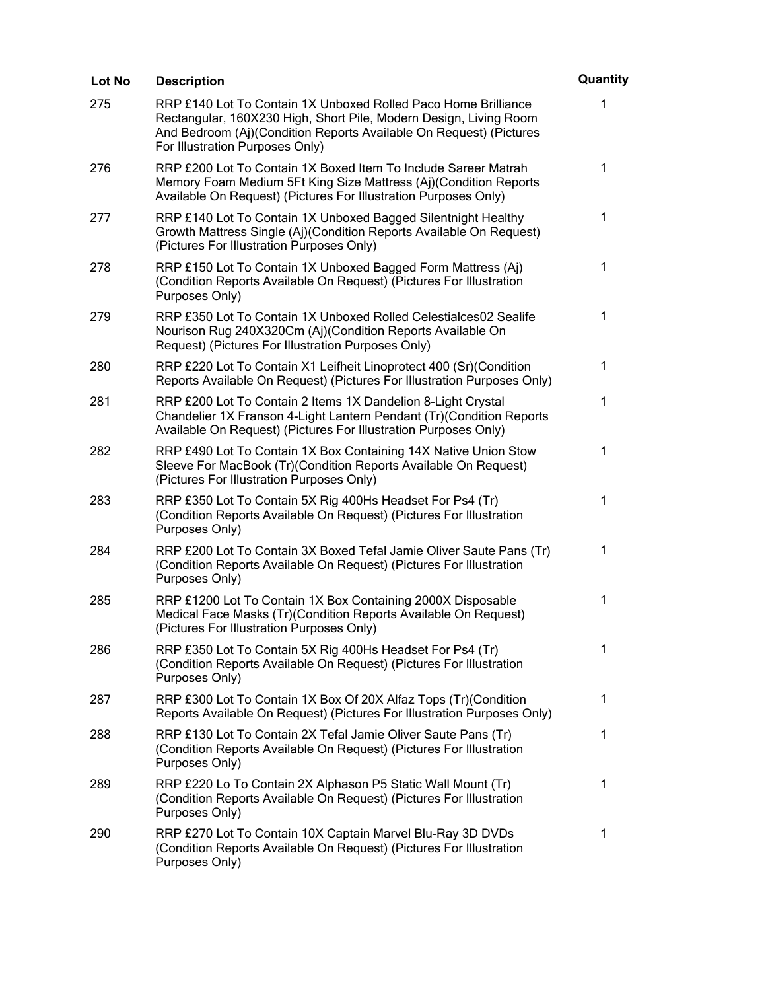| Lot No | <b>Description</b>                                                                                                                                                                                                                           | Quantity     |
|--------|----------------------------------------------------------------------------------------------------------------------------------------------------------------------------------------------------------------------------------------------|--------------|
| 275    | RRP £140 Lot To Contain 1X Unboxed Rolled Paco Home Brilliance<br>Rectangular, 160X230 High, Short Pile, Modern Design, Living Room<br>And Bedroom (Aj)(Condition Reports Available On Request) (Pictures<br>For Illustration Purposes Only) | 1            |
| 276    | RRP £200 Lot To Contain 1X Boxed Item To Include Sareer Matrah<br>Memory Foam Medium 5Ft King Size Mattress (Aj)(Condition Reports<br>Available On Request) (Pictures For Illustration Purposes Only)                                        | 1            |
| 277    | RRP £140 Lot To Contain 1X Unboxed Bagged Silentnight Healthy<br>Growth Mattress Single (Aj)(Condition Reports Available On Request)<br>(Pictures For Illustration Purposes Only)                                                            | $\mathbf 1$  |
| 278    | RRP £150 Lot To Contain 1X Unboxed Bagged Form Mattress (Aj)<br>(Condition Reports Available On Request) (Pictures For Illustration<br>Purposes Only)                                                                                        | 1            |
| 279    | RRP £350 Lot To Contain 1X Unboxed Rolled Celestialces02 Sealife<br>Nourison Rug 240X320Cm (Aj)(Condition Reports Available On<br>Request) (Pictures For Illustration Purposes Only)                                                         | 1            |
| 280    | RRP £220 Lot To Contain X1 Leifheit Linoprotect 400 (Sr)(Condition<br>Reports Available On Request) (Pictures For Illustration Purposes Only)                                                                                                | $\mathbf{1}$ |
| 281    | RRP £200 Lot To Contain 2 Items 1X Dandelion 8-Light Crystal<br>Chandelier 1X Franson 4-Light Lantern Pendant (Tr) (Condition Reports<br>Available On Request) (Pictures For Illustration Purposes Only)                                     | $\mathbf 1$  |
| 282    | RRP £490 Lot To Contain 1X Box Containing 14X Native Union Stow<br>Sleeve For MacBook (Tr)(Condition Reports Available On Request)<br>(Pictures For Illustration Purposes Only)                                                              | 1            |
| 283    | RRP £350 Lot To Contain 5X Rig 400Hs Headset For Ps4 (Tr)<br>(Condition Reports Available On Request) (Pictures For Illustration<br>Purposes Only)                                                                                           | $\mathbf 1$  |
| 284    | RRP £200 Lot To Contain 3X Boxed Tefal Jamie Oliver Saute Pans (Tr)<br>(Condition Reports Available On Request) (Pictures For Illustration<br>Purposes Only)                                                                                 | 1            |
| 285    | RRP £1200 Lot To Contain 1X Box Containing 2000X Disposable<br>Medical Face Masks (Tr)(Condition Reports Available On Request)<br>(Pictures For Illustration Purposes Only)                                                                  | 1            |
| 286    | RRP £350 Lot To Contain 5X Rig 400Hs Headset For Ps4 (Tr)<br>(Condition Reports Available On Request) (Pictures For Illustration<br>Purposes Only)                                                                                           | 1            |
| 287    | RRP £300 Lot To Contain 1X Box Of 20X Alfaz Tops (Tr)(Condition<br>Reports Available On Request) (Pictures For Illustration Purposes Only)                                                                                                   | 1            |
| 288    | RRP £130 Lot To Contain 2X Tefal Jamie Oliver Saute Pans (Tr)<br>(Condition Reports Available On Request) (Pictures For Illustration<br>Purposes Only)                                                                                       | 1            |
| 289    | RRP £220 Lo To Contain 2X Alphason P5 Static Wall Mount (Tr)<br>(Condition Reports Available On Request) (Pictures For Illustration<br>Purposes Only)                                                                                        | 1            |
| 290    | RRP £270 Lot To Contain 10X Captain Marvel Blu-Ray 3D DVDs<br>(Condition Reports Available On Request) (Pictures For Illustration<br>Purposes Only)                                                                                          | 1            |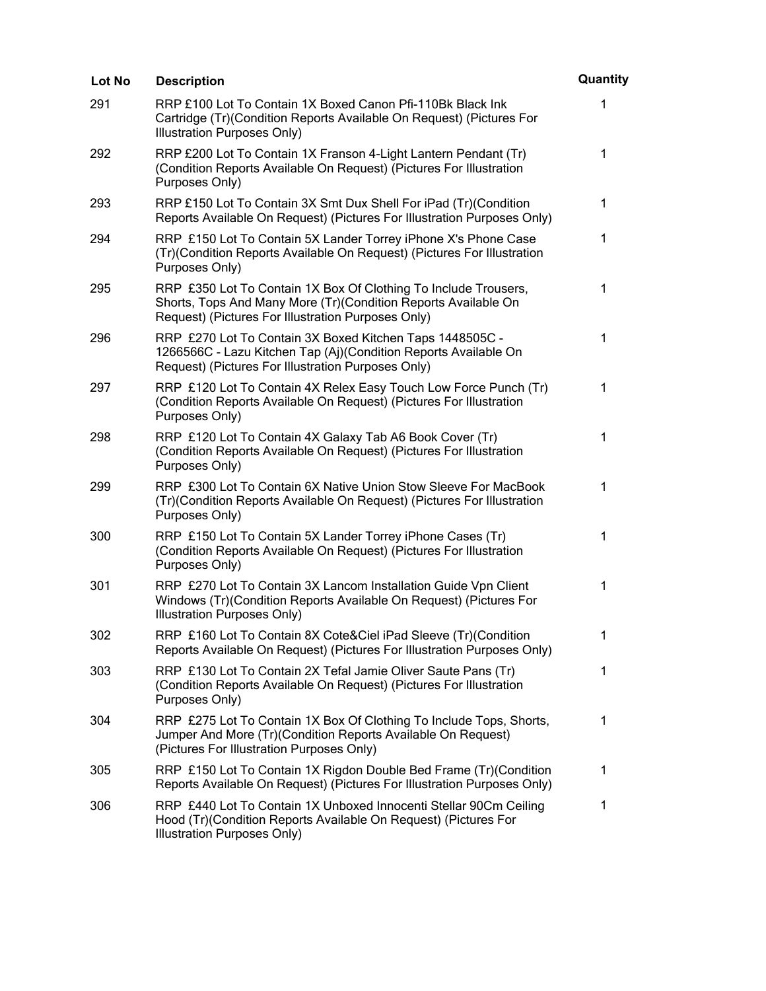| Lot No | <b>Description</b>                                                                                                                                                                       | Quantity     |
|--------|------------------------------------------------------------------------------------------------------------------------------------------------------------------------------------------|--------------|
| 291    | RRP £100 Lot To Contain 1X Boxed Canon Pfi-110Bk Black Ink<br>Cartridge (Tr)(Condition Reports Available On Request) (Pictures For<br>Illustration Purposes Only)                        | 1            |
| 292    | RRP £200 Lot To Contain 1X Franson 4-Light Lantern Pendant (Tr)<br>(Condition Reports Available On Request) (Pictures For Illustration<br>Purposes Only)                                 | $\mathbf 1$  |
| 293    | RRP £150 Lot To Contain 3X Smt Dux Shell For iPad (Tr)(Condition<br>Reports Available On Request) (Pictures For Illustration Purposes Only)                                              | 1            |
| 294    | RRP £150 Lot To Contain 5X Lander Torrey iPhone X's Phone Case<br>(Tr)(Condition Reports Available On Request) (Pictures For Illustration<br>Purposes Only)                              | 1            |
| 295    | RRP £350 Lot To Contain 1X Box Of Clothing To Include Trousers,<br>Shorts, Tops And Many More (Tr) (Condition Reports Available On<br>Request) (Pictures For Illustration Purposes Only) | $\mathbf 1$  |
| 296    | RRP £270 Lot To Contain 3X Boxed Kitchen Taps 1448505C -<br>1266566C - Lazu Kitchen Tap (Aj)(Condition Reports Available On<br>Request) (Pictures For Illustration Purposes Only)        | 1            |
| 297    | RRP £120 Lot To Contain 4X Relex Easy Touch Low Force Punch (Tr)<br>(Condition Reports Available On Request) (Pictures For Illustration<br>Purposes Only)                                | 1            |
| 298    | RRP £120 Lot To Contain 4X Galaxy Tab A6 Book Cover (Tr)<br>(Condition Reports Available On Request) (Pictures For Illustration<br>Purposes Only)                                        | 1            |
| 299    | RRP £300 Lot To Contain 6X Native Union Stow Sleeve For MacBook<br>(Tr)(Condition Reports Available On Request) (Pictures For Illustration<br>Purposes Only)                             | $\mathbf{1}$ |
| 300    | RRP £150 Lot To Contain 5X Lander Torrey iPhone Cases (Tr)<br>(Condition Reports Available On Request) (Pictures For Illustration<br>Purposes Only)                                      | 1            |
| 301    | RRP £270 Lot To Contain 3X Lancom Installation Guide Vpn Client<br>Windows (Tr)(Condition Reports Available On Request) (Pictures For<br>Illustration Purposes Only)                     | 1            |
| 302    | RRP £160 Lot To Contain 8X Cote&Ciel iPad Sleeve (Tr)(Condition<br>Reports Available On Request) (Pictures For Illustration Purposes Only)                                               | 1            |
| 303    | RRP £130 Lot To Contain 2X Tefal Jamie Oliver Saute Pans (Tr)<br>(Condition Reports Available On Request) (Pictures For Illustration<br>Purposes Only)                                   | 1            |
| 304    | RRP £275 Lot To Contain 1X Box Of Clothing To Include Tops, Shorts,<br>Jumper And More (Tr)(Condition Reports Available On Request)<br>(Pictures For Illustration Purposes Only)         | 1            |
| 305    | RRP £150 Lot To Contain 1X Rigdon Double Bed Frame (Tr) (Condition<br>Reports Available On Request) (Pictures For Illustration Purposes Only)                                            | 1            |
| 306    | RRP £440 Lot To Contain 1X Unboxed Innocenti Stellar 90Cm Ceiling<br>Hood (Tr)(Condition Reports Available On Request) (Pictures For<br>Illustration Purposes Only)                      | 1            |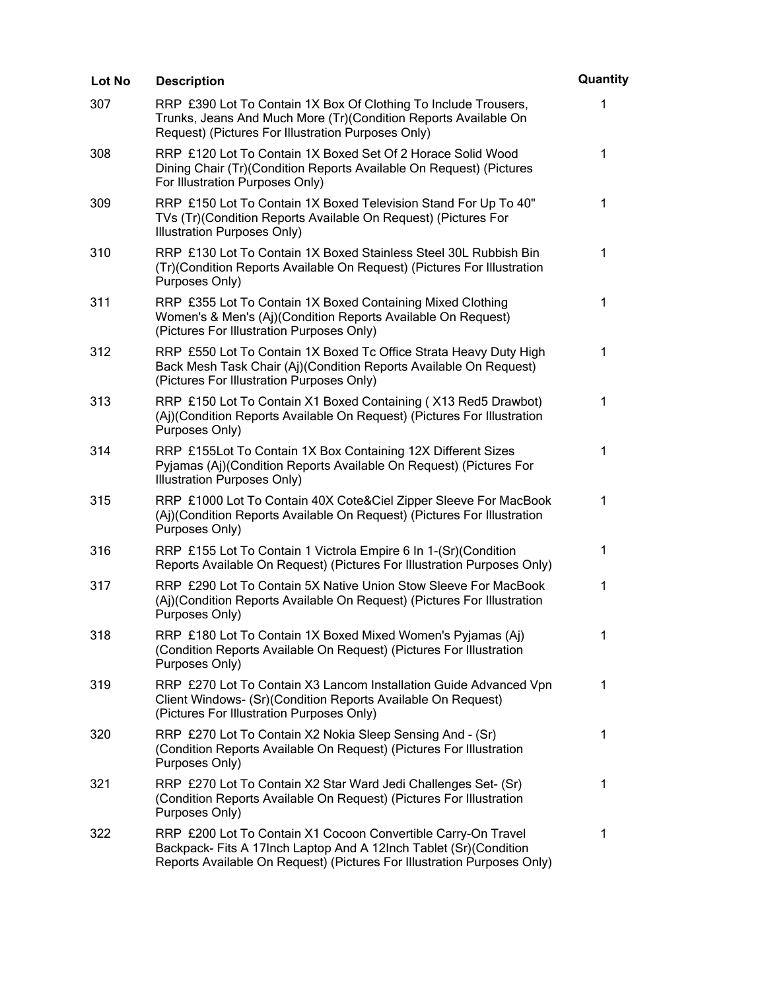| <b>Lot No</b> | <b>Description</b>                                                                                                                                                                                            | Quantity    |
|---------------|---------------------------------------------------------------------------------------------------------------------------------------------------------------------------------------------------------------|-------------|
| 307           | RRP £390 Lot To Contain 1X Box Of Clothing To Include Trousers,<br>Trunks, Jeans And Much More (Tr)(Condition Reports Available On<br>Request) (Pictures For Illustration Purposes Only)                      | 1           |
| 308           | RRP £120 Lot To Contain 1X Boxed Set Of 2 Horace Solid Wood<br>Dining Chair (Tr) (Condition Reports Available On Request) (Pictures<br>For Illustration Purposes Only)                                        | $\mathbf 1$ |
| 309           | RRP £150 Lot To Contain 1X Boxed Television Stand For Up To 40"<br>TVs (Tr)(Condition Reports Available On Request) (Pictures For<br>Illustration Purposes Only)                                              | 1           |
| 310           | RRP £130 Lot To Contain 1X Boxed Stainless Steel 30L Rubbish Bin<br>(Tr)(Condition Reports Available On Request) (Pictures For Illustration<br>Purposes Only)                                                 | 1           |
| 311           | RRP £355 Lot To Contain 1X Boxed Containing Mixed Clothing<br>Women's & Men's (Aj)(Condition Reports Available On Request)<br>(Pictures For Illustration Purposes Only)                                       | $\mathbf 1$ |
| 312           | RRP £550 Lot To Contain 1X Boxed Tc Office Strata Heavy Duty High<br>Back Mesh Task Chair (Aj)(Condition Reports Available On Request)<br>(Pictures For Illustration Purposes Only)                           | 1           |
| 313           | RRP £150 Lot To Contain X1 Boxed Containing (X13 Red5 Drawbot)<br>(Aj)(Condition Reports Available On Request) (Pictures For Illustration<br>Purposes Only)                                                   | 1           |
| 314           | RRP £155Lot To Contain 1X Box Containing 12X Different Sizes<br>Pyjamas (Aj)(Condition Reports Available On Request) (Pictures For<br>Illustration Purposes Only)                                             | 1           |
| 315           | RRP £1000 Lot To Contain 40X Cote&Ciel Zipper Sleeve For MacBook<br>(Aj)(Condition Reports Available On Request) (Pictures For Illustration<br>Purposes Only)                                                 | 1           |
| 316           | RRP £155 Lot To Contain 1 Victrola Empire 6 In 1-(Sr)(Condition<br>Reports Available On Request) (Pictures For Illustration Purposes Only)                                                                    | $\mathbf 1$ |
| 317           | RRP £290 Lot To Contain 5X Native Union Stow Sleeve For MacBook<br>(Aj)(Condition Reports Available On Request) (Pictures For Illustration<br>Purposes Only)                                                  | 1           |
| 318           | RRP £180 Lot To Contain 1X Boxed Mixed Women's Pyjamas (Aj)<br>(Condition Reports Available On Request) (Pictures For Illustration<br>Purposes Only)                                                          | 1           |
| 319           | RRP £270 Lot To Contain X3 Lancom Installation Guide Advanced Vpn<br>Client Windows- (Sr)(Condition Reports Available On Request)<br>(Pictures For Illustration Purposes Only)                                | 1           |
| 320           | RRP £270 Lot To Contain X2 Nokia Sleep Sensing And - (Sr)<br>(Condition Reports Available On Request) (Pictures For Illustration<br>Purposes Only)                                                            | 1           |
| 321           | RRP £270 Lot To Contain X2 Star Ward Jedi Challenges Set- (Sr)<br>(Condition Reports Available On Request) (Pictures For Illustration<br>Purposes Only)                                                       | 1           |
| 322           | RRP £200 Lot To Contain X1 Cocoon Convertible Carry-On Travel<br>Backpack- Fits A 17Inch Laptop And A 12Inch Tablet (Sr)(Condition<br>Reports Available On Request) (Pictures For Illustration Purposes Only) | 1           |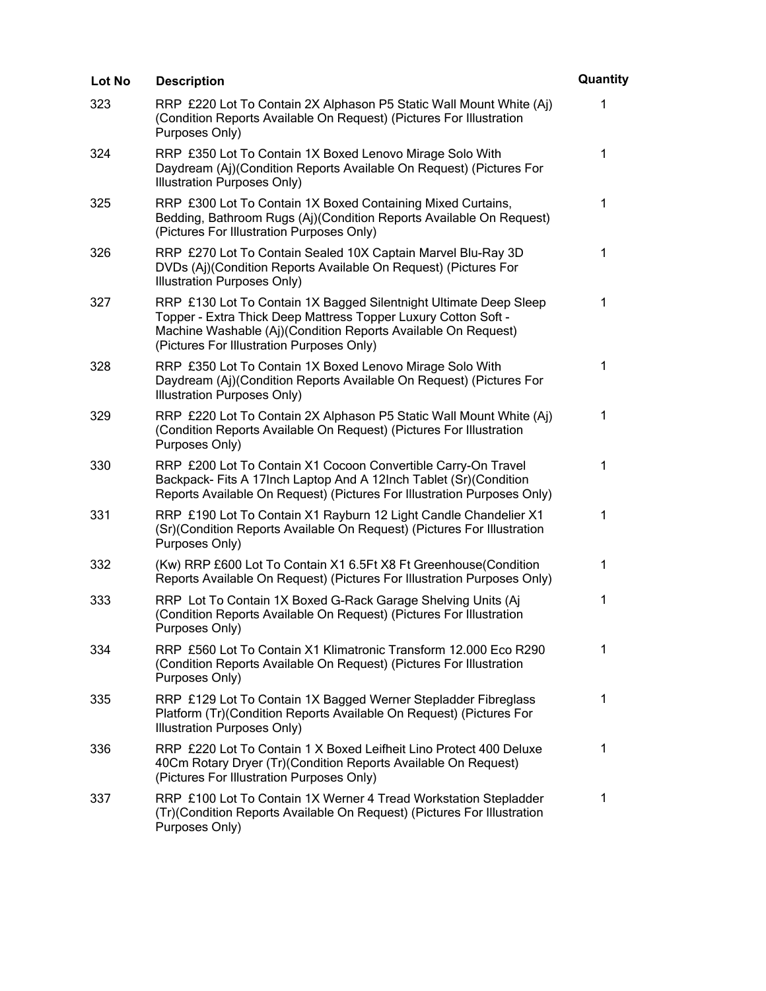| Lot No | <b>Description</b>                                                                                                                                                                                                                                | Quantity     |
|--------|---------------------------------------------------------------------------------------------------------------------------------------------------------------------------------------------------------------------------------------------------|--------------|
| 323    | RRP £220 Lot To Contain 2X Alphason P5 Static Wall Mount White (Aj)<br>(Condition Reports Available On Request) (Pictures For Illustration<br>Purposes Only)                                                                                      | 1            |
| 324    | RRP £350 Lot To Contain 1X Boxed Lenovo Mirage Solo With<br>Daydream (Aj)(Condition Reports Available On Request) (Pictures For<br>Illustration Purposes Only)                                                                                    | $\mathbf 1$  |
| 325    | RRP £300 Lot To Contain 1X Boxed Containing Mixed Curtains,<br>Bedding, Bathroom Rugs (Aj)(Condition Reports Available On Request)<br>(Pictures For Illustration Purposes Only)                                                                   | $\mathbf 1$  |
| 326    | RRP £270 Lot To Contain Sealed 10X Captain Marvel Blu-Ray 3D<br>DVDs (Aj)(Condition Reports Available On Request) (Pictures For<br>Illustration Purposes Only)                                                                                    | 1            |
| 327    | RRP £130 Lot To Contain 1X Bagged Silentnight Ultimate Deep Sleep<br>Topper - Extra Thick Deep Mattress Topper Luxury Cotton Soft -<br>Machine Washable (Aj)(Condition Reports Available On Request)<br>(Pictures For Illustration Purposes Only) | $\mathbf 1$  |
| 328    | RRP £350 Lot To Contain 1X Boxed Lenovo Mirage Solo With<br>Daydream (Aj)(Condition Reports Available On Request) (Pictures For<br>Illustration Purposes Only)                                                                                    | $\mathbf{1}$ |
| 329    | RRP £220 Lot To Contain 2X Alphason P5 Static Wall Mount White (Aj)<br>(Condition Reports Available On Request) (Pictures For Illustration<br>Purposes Only)                                                                                      | 1            |
| 330    | RRP £200 Lot To Contain X1 Cocoon Convertible Carry-On Travel<br>Backpack- Fits A 17Inch Laptop And A 12Inch Tablet (Sr) (Condition<br>Reports Available On Request) (Pictures For Illustration Purposes Only)                                    | 1            |
| 331    | RRP £190 Lot To Contain X1 Rayburn 12 Light Candle Chandelier X1<br>(Sr)(Condition Reports Available On Request) (Pictures For Illustration<br>Purposes Only)                                                                                     | 1            |
| 332    | (Kw) RRP £600 Lot To Contain X1 6.5Ft X8 Ft Greenhouse(Condition<br>Reports Available On Request) (Pictures For Illustration Purposes Only)                                                                                                       | 1            |
| 333    | RRP Lot To Contain 1X Boxed G-Rack Garage Shelving Units (Aj<br>(Condition Reports Available On Request) (Pictures For Illustration<br>Purposes Only)                                                                                             | 1            |
| 334    | RRP £560 Lot To Contain X1 Klimatronic Transform 12.000 Eco R290<br>(Condition Reports Available On Request) (Pictures For Illustration<br>Purposes Only)                                                                                         | $\mathbf 1$  |
| 335    | RRP £129 Lot To Contain 1X Bagged Werner Stepladder Fibreglass<br>Platform (Tr)(Condition Reports Available On Request) (Pictures For<br>Illustration Purposes Only)                                                                              | $\mathbf 1$  |
| 336    | RRP £220 Lot To Contain 1 X Boxed Leifheit Lino Protect 400 Deluxe<br>40Cm Rotary Dryer (Tr)(Condition Reports Available On Request)<br>(Pictures For Illustration Purposes Only)                                                                 | $\mathbf 1$  |
| 337    | RRP £100 Lot To Contain 1X Werner 4 Tread Workstation Stepladder<br>(Tr)(Condition Reports Available On Request) (Pictures For Illustration<br>Purposes Only)                                                                                     | 1            |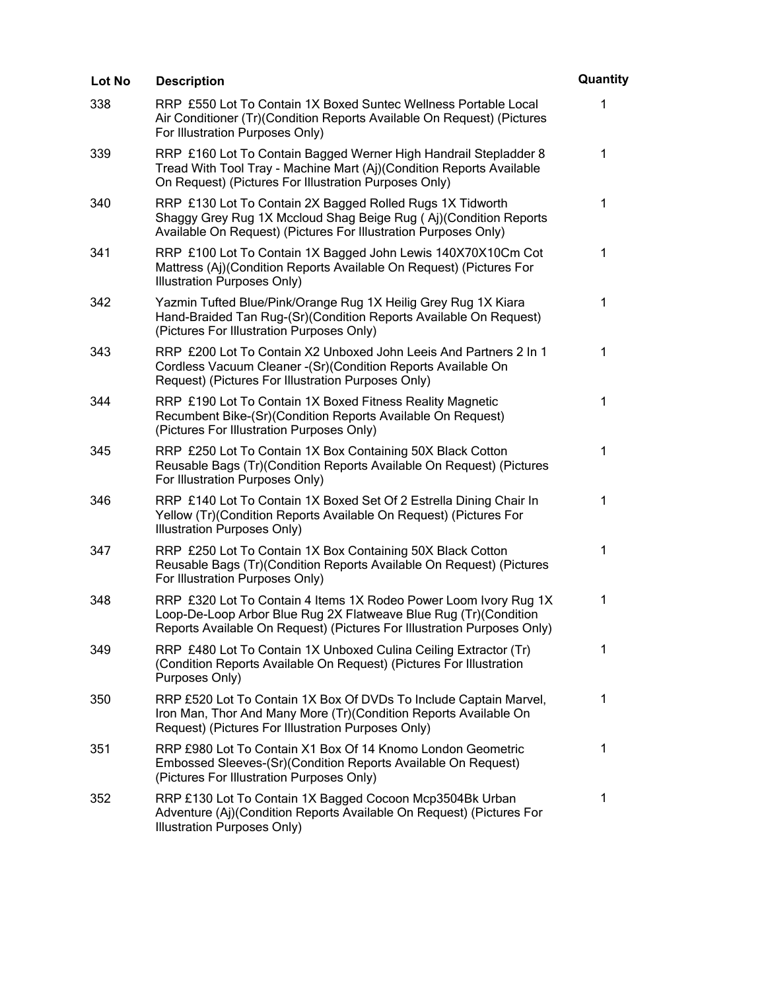| Lot No | <b>Description</b>                                                                                                                                                                                              | Quantity     |
|--------|-----------------------------------------------------------------------------------------------------------------------------------------------------------------------------------------------------------------|--------------|
| 338    | RRP £550 Lot To Contain 1X Boxed Suntec Wellness Portable Local<br>Air Conditioner (Tr) (Condition Reports Available On Request) (Pictures<br>For Illustration Purposes Only)                                   | 1            |
| 339    | RRP £160 Lot To Contain Bagged Werner High Handrail Stepladder 8<br>Tread With Tool Tray - Machine Mart (Aj)(Condition Reports Available<br>On Request) (Pictures For Illustration Purposes Only)               | 1            |
| 340    | RRP £130 Lot To Contain 2X Bagged Rolled Rugs 1X Tidworth<br>Shaggy Grey Rug 1X Mccloud Shag Beige Rug (Aj)(Condition Reports<br>Available On Request) (Pictures For Illustration Purposes Only)                | $\mathbf{1}$ |
| 341    | RRP £100 Lot To Contain 1X Bagged John Lewis 140X70X10Cm Cot<br>Mattress (Aj)(Condition Reports Available On Request) (Pictures For<br>Illustration Purposes Only)                                              | 1            |
| 342    | Yazmin Tufted Blue/Pink/Orange Rug 1X Heilig Grey Rug 1X Kiara<br>Hand-Braided Tan Rug-(Sr)(Condition Reports Available On Request)<br>(Pictures For Illustration Purposes Only)                                | 1            |
| 343    | RRP £200 Lot To Contain X2 Unboxed John Leeis And Partners 2 In 1<br>Cordless Vacuum Cleaner - (Sr) (Condition Reports Available On<br>Request) (Pictures For Illustration Purposes Only)                       | 1            |
| 344    | RRP £190 Lot To Contain 1X Boxed Fitness Reality Magnetic<br>Recumbent Bike-(Sr)(Condition Reports Available On Request)<br>(Pictures For Illustration Purposes Only)                                           | 1            |
| 345    | RRP £250 Lot To Contain 1X Box Containing 50X Black Cotton<br>Reusable Bags (Tr)(Condition Reports Available On Request) (Pictures<br>For Illustration Purposes Only)                                           | 1            |
| 346    | RRP £140 Lot To Contain 1X Boxed Set Of 2 Estrella Dining Chair In<br>Yellow (Tr) (Condition Reports Available On Request) (Pictures For<br>Illustration Purposes Only)                                         | 1            |
| 347    | RRP £250 Lot To Contain 1X Box Containing 50X Black Cotton<br>Reusable Bags (Tr)(Condition Reports Available On Request) (Pictures<br>For Illustration Purposes Only)                                           | 1            |
| 348    | RRP £320 Lot To Contain 4 Items 1X Rodeo Power Loom Ivory Rug 1X<br>Loop-De-Loop Arbor Blue Rug 2X Flatweave Blue Rug (Tr)(Condition<br>Reports Available On Request) (Pictures For Illustration Purposes Only) | 1            |
| 349    | RRP £480 Lot To Contain 1X Unboxed Culina Ceiling Extractor (Tr)<br>(Condition Reports Available On Request) (Pictures For Illustration<br>Purposes Only)                                                       | $\mathbf 1$  |
| 350    | RRP £520 Lot To Contain 1X Box Of DVDs To Include Captain Marvel,<br>Iron Man, Thor And Many More (Tr) (Condition Reports Available On<br>Request) (Pictures For Illustration Purposes Only)                    | $\mathbf 1$  |
| 351    | RRP £980 Lot To Contain X1 Box Of 14 Knomo London Geometric<br>Embossed Sleeves-(Sr)(Condition Reports Available On Request)<br>(Pictures For Illustration Purposes Only)                                       | $\mathbf 1$  |
| 352    | RRP £130 Lot To Contain 1X Bagged Cocoon Mcp3504Bk Urban<br>Adventure (Aj)(Condition Reports Available On Request) (Pictures For<br>Illustration Purposes Only)                                                 | 1            |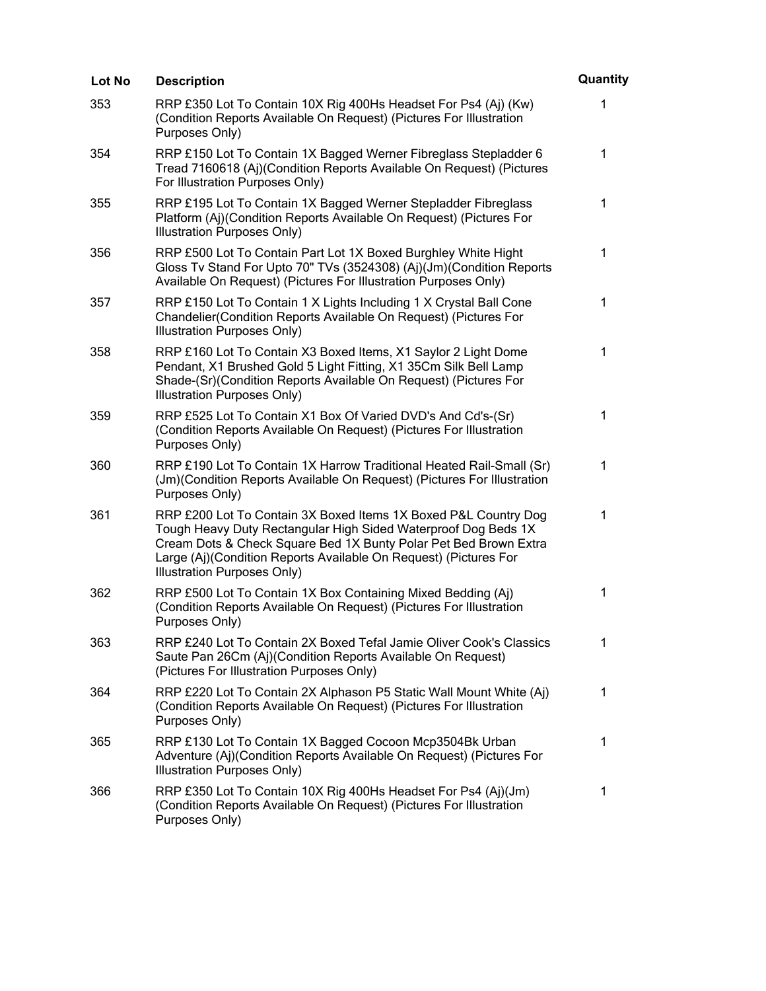| Lot No | <b>Description</b>                                                                                                                                                                                                                                                                                              | Quantity     |
|--------|-----------------------------------------------------------------------------------------------------------------------------------------------------------------------------------------------------------------------------------------------------------------------------------------------------------------|--------------|
| 353    | RRP £350 Lot To Contain 10X Rig 400Hs Headset For Ps4 (Aj) (Kw)<br>(Condition Reports Available On Request) (Pictures For Illustration<br>Purposes Only)                                                                                                                                                        | 1            |
| 354    | RRP £150 Lot To Contain 1X Bagged Werner Fibreglass Stepladder 6<br>Tread 7160618 (Aj)(Condition Reports Available On Request) (Pictures<br>For Illustration Purposes Only)                                                                                                                                     | 1            |
| 355    | RRP £195 Lot To Contain 1X Bagged Werner Stepladder Fibreglass<br>Platform (Aj)(Condition Reports Available On Request) (Pictures For<br>Illustration Purposes Only)                                                                                                                                            | $\mathbf{1}$ |
| 356    | RRP £500 Lot To Contain Part Lot 1X Boxed Burghley White Hight<br>Gloss Tv Stand For Upto 70" TVs (3524308) (Aj)(Jm)(Condition Reports<br>Available On Request) (Pictures For Illustration Purposes Only)                                                                                                       | 1            |
| 357    | RRP £150 Lot To Contain 1 X Lights Including 1 X Crystal Ball Cone<br>Chandelier (Condition Reports Available On Request) (Pictures For<br>Illustration Purposes Only)                                                                                                                                          | $\mathbf 1$  |
| 358    | RRP £160 Lot To Contain X3 Boxed Items, X1 Saylor 2 Light Dome<br>Pendant, X1 Brushed Gold 5 Light Fitting, X1 35Cm Silk Bell Lamp<br>Shade-(Sr)(Condition Reports Available On Request) (Pictures For<br>Illustration Purposes Only)                                                                           | 1            |
| 359    | RRP £525 Lot To Contain X1 Box Of Varied DVD's And Cd's-(Sr)<br>(Condition Reports Available On Request) (Pictures For Illustration<br>Purposes Only)                                                                                                                                                           | 1            |
| 360    | RRP £190 Lot To Contain 1X Harrow Traditional Heated Rail-Small (Sr)<br>(Jm)(Condition Reports Available On Request) (Pictures For Illustration<br>Purposes Only)                                                                                                                                               | 1            |
| 361    | RRP £200 Lot To Contain 3X Boxed Items 1X Boxed P&L Country Dog<br>Tough Heavy Duty Rectangular High Sided Waterproof Dog Beds 1X<br>Cream Dots & Check Square Bed 1X Bunty Polar Pet Bed Brown Extra<br>Large (Aj)(Condition Reports Available On Request) (Pictures For<br><b>Illustration Purposes Only)</b> | 1            |
| 362    | RRP £500 Lot To Contain 1X Box Containing Mixed Bedding (Aj)<br>(Condition Reports Available On Request) (Pictures For Illustration<br>Purposes Only)                                                                                                                                                           | $\mathbf 1$  |
| 363    | RRP £240 Lot To Contain 2X Boxed Tefal Jamie Oliver Cook's Classics<br>Saute Pan 26Cm (Aj)(Condition Reports Available On Request)<br>(Pictures For Illustration Purposes Only)                                                                                                                                 | 1            |
| 364    | RRP £220 Lot To Contain 2X Alphason P5 Static Wall Mount White (Aj)<br>(Condition Reports Available On Request) (Pictures For Illustration<br>Purposes Only)                                                                                                                                                    | 1            |
| 365    | RRP £130 Lot To Contain 1X Bagged Cocoon Mcp3504Bk Urban<br>Adventure (Aj)(Condition Reports Available On Request) (Pictures For<br>Illustration Purposes Only)                                                                                                                                                 | $\mathbf 1$  |
| 366    | RRP £350 Lot To Contain 10X Rig 400Hs Headset For Ps4 (Aj)(Jm)<br>(Condition Reports Available On Request) (Pictures For Illustration<br>Purposes Only)                                                                                                                                                         | 1            |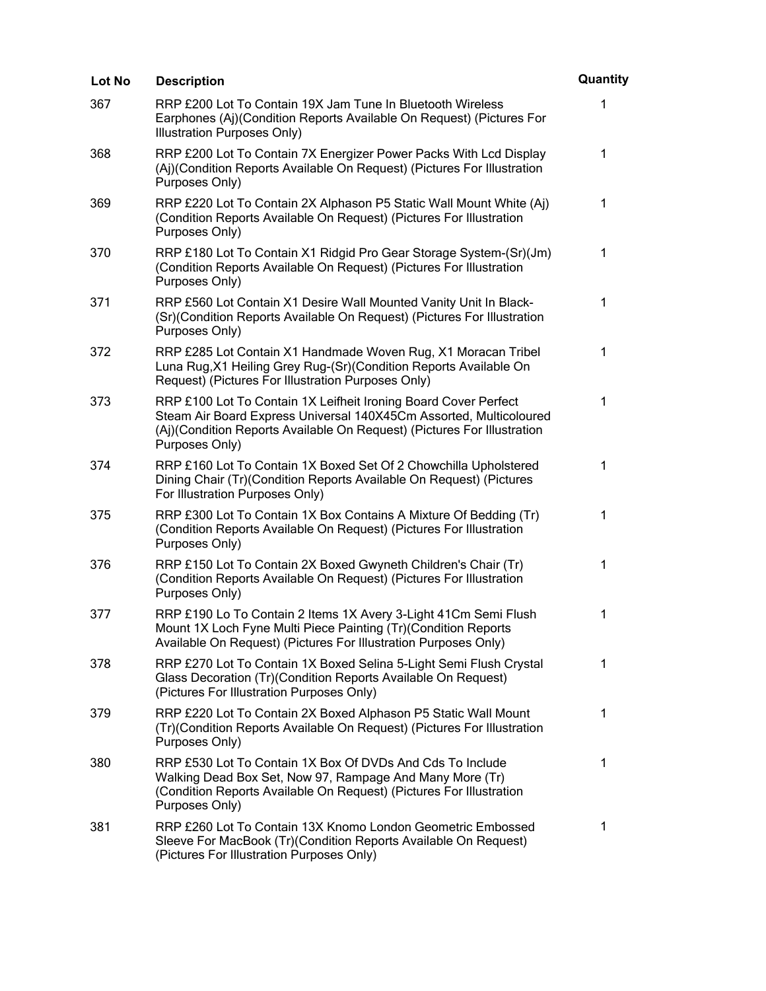| Lot No | <b>Description</b>                                                                                                                                                                                                                 | Quantity    |
|--------|------------------------------------------------------------------------------------------------------------------------------------------------------------------------------------------------------------------------------------|-------------|
| 367    | RRP £200 Lot To Contain 19X Jam Tune In Bluetooth Wireless<br>Earphones (Aj)(Condition Reports Available On Request) (Pictures For<br>Illustration Purposes Only)                                                                  | 1           |
| 368    | RRP £200 Lot To Contain 7X Energizer Power Packs With Lcd Display<br>(Aj)(Condition Reports Available On Request) (Pictures For Illustration<br>Purposes Only)                                                                     | 1           |
| 369    | RRP £220 Lot To Contain 2X Alphason P5 Static Wall Mount White (Aj)<br>(Condition Reports Available On Request) (Pictures For Illustration<br>Purposes Only)                                                                       | $\mathbf 1$ |
| 370    | RRP £180 Lot To Contain X1 Ridgid Pro Gear Storage System-(Sr)(Jm)<br>(Condition Reports Available On Request) (Pictures For Illustration<br>Purposes Only)                                                                        | 1           |
| 371    | RRP £560 Lot Contain X1 Desire Wall Mounted Vanity Unit In Black-<br>(Sr)(Condition Reports Available On Request) (Pictures For Illustration<br>Purposes Only)                                                                     | 1           |
| 372    | RRP £285 Lot Contain X1 Handmade Woven Rug, X1 Moracan Tribel<br>Luna Rug, X1 Heiling Grey Rug-(Sr) (Condition Reports Available On<br>Request) (Pictures For Illustration Purposes Only)                                          | 1           |
| 373    | RRP £100 Lot To Contain 1X Leifheit Ironing Board Cover Perfect<br>Steam Air Board Express Universal 140X45Cm Assorted, Multicoloured<br>(Aj)(Condition Reports Available On Request) (Pictures For Illustration<br>Purposes Only) | 1           |
| 374    | RRP £160 Lot To Contain 1X Boxed Set Of 2 Chowchilla Upholstered<br>Dining Chair (Tr) (Condition Reports Available On Request) (Pictures<br>For Illustration Purposes Only)                                                        | 1           |
| 375    | RRP £300 Lot To Contain 1X Box Contains A Mixture Of Bedding (Tr)<br>(Condition Reports Available On Request) (Pictures For Illustration<br>Purposes Only)                                                                         | $\mathbf 1$ |
| 376    | RRP £150 Lot To Contain 2X Boxed Gwyneth Children's Chair (Tr)<br>(Condition Reports Available On Request) (Pictures For Illustration<br>Purposes Only)                                                                            | 1           |
| 377    | RRP £190 Lo To Contain 2 Items 1X Avery 3-Light 41Cm Semi Flush<br>Mount 1X Loch Fyne Multi Piece Painting (Tr)(Condition Reports<br>Available On Request) (Pictures For Illustration Purposes Only)                               | 1           |
| 378    | RRP £270 Lot To Contain 1X Boxed Selina 5-Light Semi Flush Crystal<br>Glass Decoration (Tr)(Condition Reports Available On Request)<br>(Pictures For Illustration Purposes Only)                                                   | 1           |
| 379    | RRP £220 Lot To Contain 2X Boxed Alphason P5 Static Wall Mount<br>(Tr)(Condition Reports Available On Request) (Pictures For Illustration<br>Purposes Only)                                                                        | 1           |
| 380    | RRP £530 Lot To Contain 1X Box Of DVDs And Cds To Include<br>Walking Dead Box Set, Now 97, Rampage And Many More (Tr)<br>(Condition Reports Available On Request) (Pictures For Illustration<br>Purposes Only)                     | 1           |
| 381    | RRP £260 Lot To Contain 13X Knomo London Geometric Embossed<br>Sleeve For MacBook (Tr)(Condition Reports Available On Request)<br>(Pictures For Illustration Purposes Only)                                                        | 1           |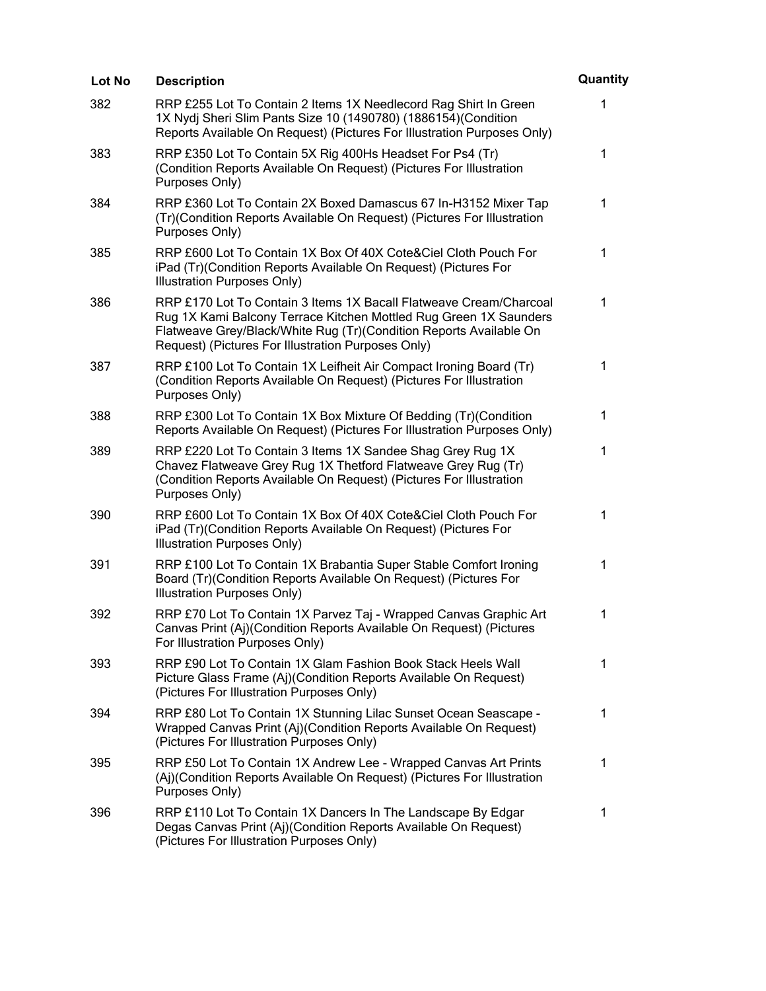| Lot No | <b>Description</b>                                                                                                                                                                                                                                                  | Quantity    |
|--------|---------------------------------------------------------------------------------------------------------------------------------------------------------------------------------------------------------------------------------------------------------------------|-------------|
| 382    | RRP £255 Lot To Contain 2 Items 1X Needlecord Rag Shirt In Green<br>1X Nydj Sheri Slim Pants Size 10 (1490780) (1886154) (Condition<br>Reports Available On Request) (Pictures For Illustration Purposes Only)                                                      | 1           |
| 383    | RRP £350 Lot To Contain 5X Rig 400Hs Headset For Ps4 (Tr)<br>(Condition Reports Available On Request) (Pictures For Illustration<br>Purposes Only)                                                                                                                  | 1           |
| 384    | RRP £360 Lot To Contain 2X Boxed Damascus 67 In-H3152 Mixer Tap<br>(Tr)(Condition Reports Available On Request) (Pictures For Illustration<br>Purposes Only)                                                                                                        | $\mathbf 1$ |
| 385    | RRP £600 Lot To Contain 1X Box Of 40X Cote&Ciel Cloth Pouch For<br>iPad (Tr)(Condition Reports Available On Request) (Pictures For<br>Illustration Purposes Only)                                                                                                   | $\mathbf 1$ |
| 386    | RRP £170 Lot To Contain 3 Items 1X Bacall Flatweave Cream/Charcoal<br>Rug 1X Kami Balcony Terrace Kitchen Mottled Rug Green 1X Saunders<br>Flatweave Grey/Black/White Rug (Tr)(Condition Reports Available On<br>Request) (Pictures For Illustration Purposes Only) | 1           |
| 387    | RRP £100 Lot To Contain 1X Leifheit Air Compact Ironing Board (Tr)<br>(Condition Reports Available On Request) (Pictures For Illustration<br>Purposes Only)                                                                                                         | 1           |
| 388    | RRP £300 Lot To Contain 1X Box Mixture Of Bedding (Tr)(Condition<br>Reports Available On Request) (Pictures For Illustration Purposes Only)                                                                                                                         | 1           |
| 389    | RRP £220 Lot To Contain 3 Items 1X Sandee Shag Grey Rug 1X<br>Chavez Flatweave Grey Rug 1X Thetford Flatweave Grey Rug (Tr)<br>(Condition Reports Available On Request) (Pictures For Illustration<br>Purposes Only)                                                | 1           |
| 390    | RRP £600 Lot To Contain 1X Box Of 40X Cote&Ciel Cloth Pouch For<br>iPad (Tr)(Condition Reports Available On Request) (Pictures For<br>Illustration Purposes Only)                                                                                                   | 1           |
| 391    | RRP £100 Lot To Contain 1X Brabantia Super Stable Comfort Ironing<br>Board (Tr)(Condition Reports Available On Request) (Pictures For<br>Illustration Purposes Only)                                                                                                | 1           |
| 392    | RRP £70 Lot To Contain 1X Parvez Taj - Wrapped Canvas Graphic Art<br>Canvas Print (Aj)(Condition Reports Available On Request) (Pictures<br>For Illustration Purposes Only)                                                                                         | 1           |
| 393    | RRP £90 Lot To Contain 1X Glam Fashion Book Stack Heels Wall<br>Picture Glass Frame (Aj)(Condition Reports Available On Request)<br>(Pictures For Illustration Purposes Only)                                                                                       | 1           |
| 394    | RRP £80 Lot To Contain 1X Stunning Lilac Sunset Ocean Seascape -<br>Wrapped Canvas Print (Aj)(Condition Reports Available On Request)<br>(Pictures For Illustration Purposes Only)                                                                                  | 1           |
| 395    | RRP £50 Lot To Contain 1X Andrew Lee - Wrapped Canvas Art Prints<br>(Aj)(Condition Reports Available On Request) (Pictures For Illustration<br>Purposes Only)                                                                                                       | 1           |
| 396    | RRP £110 Lot To Contain 1X Dancers In The Landscape By Edgar<br>Degas Canvas Print (Aj)(Condition Reports Available On Request)<br>(Pictures For Illustration Purposes Only)                                                                                        | 1           |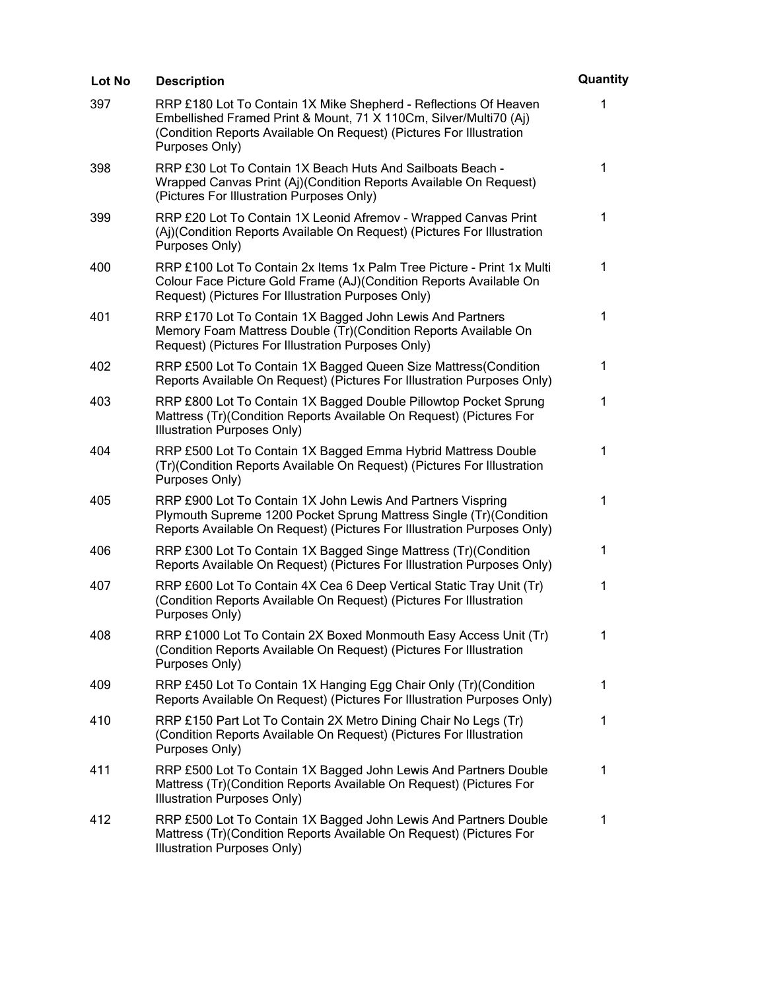| Lot No | <b>Description</b>                                                                                                                                                                                                             | Quantity    |
|--------|--------------------------------------------------------------------------------------------------------------------------------------------------------------------------------------------------------------------------------|-------------|
| 397    | RRP £180 Lot To Contain 1X Mike Shepherd - Reflections Of Heaven<br>Embellished Framed Print & Mount, 71 X 110Cm, Silver/Multi70 (Aj)<br>(Condition Reports Available On Request) (Pictures For Illustration<br>Purposes Only) | 1           |
| 398    | RRP £30 Lot To Contain 1X Beach Huts And Sailboats Beach -<br>Wrapped Canvas Print (Aj)(Condition Reports Available On Request)<br>(Pictures For Illustration Purposes Only)                                                   | 1           |
| 399    | RRP £20 Lot To Contain 1X Leonid Afremov - Wrapped Canvas Print<br>(Aj)(Condition Reports Available On Request) (Pictures For Illustration<br>Purposes Only)                                                                   | 1           |
| 400    | RRP £100 Lot To Contain 2x Items 1x Palm Tree Picture - Print 1x Multi<br>Colour Face Picture Gold Frame (AJ)(Condition Reports Available On<br>Request) (Pictures For Illustration Purposes Only)                             | $\mathbf 1$ |
| 401    | RRP £170 Lot To Contain 1X Bagged John Lewis And Partners<br>Memory Foam Mattress Double (Tr)(Condition Reports Available On<br>Request) (Pictures For Illustration Purposes Only)                                             | 1           |
| 402    | RRP £500 Lot To Contain 1X Bagged Queen Size Mattress (Condition<br>Reports Available On Request) (Pictures For Illustration Purposes Only)                                                                                    | $\mathbf 1$ |
| 403    | RRP £800 Lot To Contain 1X Bagged Double Pillowtop Pocket Sprung<br>Mattress (Tr)(Condition Reports Available On Request) (Pictures For<br>Illustration Purposes Only)                                                         | $\mathbf 1$ |
| 404    | RRP £500 Lot To Contain 1X Bagged Emma Hybrid Mattress Double<br>(Tr)(Condition Reports Available On Request) (Pictures For Illustration<br>Purposes Only)                                                                     | 1           |
| 405    | RRP £900 Lot To Contain 1X John Lewis And Partners Vispring<br>Plymouth Supreme 1200 Pocket Sprung Mattress Single (Tr) (Condition<br>Reports Available On Request) (Pictures For Illustration Purposes Only)                  | 1           |
| 406    | RRP £300 Lot To Contain 1X Bagged Singe Mattress (Tr)(Condition<br>Reports Available On Request) (Pictures For Illustration Purposes Only)                                                                                     | $\mathbf 1$ |
| 407    | RRP £600 Lot To Contain 4X Cea 6 Deep Vertical Static Tray Unit (Tr)<br>(Condition Reports Available On Request) (Pictures For Illustration<br>Purposes Only)                                                                  | 1           |
| 408    | RRP £1000 Lot To Contain 2X Boxed Monmouth Easy Access Unit (Tr)<br>(Condition Reports Available On Request) (Pictures For Illustration<br>Purposes Only)                                                                      | 1           |
| 409    | RRP £450 Lot To Contain 1X Hanging Egg Chair Only (Tr)(Condition<br>Reports Available On Request) (Pictures For Illustration Purposes Only)                                                                                    | 1           |
| 410    | RRP £150 Part Lot To Contain 2X Metro Dining Chair No Legs (Tr)<br>(Condition Reports Available On Request) (Pictures For Illustration<br>Purposes Only)                                                                       | 1           |
| 411    | RRP £500 Lot To Contain 1X Bagged John Lewis And Partners Double<br>Mattress (Tr)(Condition Reports Available On Request) (Pictures For<br>Illustration Purposes Only)                                                         | 1           |
| 412    | RRP £500 Lot To Contain 1X Bagged John Lewis And Partners Double<br>Mattress (Tr)(Condition Reports Available On Request) (Pictures For<br>Illustration Purposes Only)                                                         | 1           |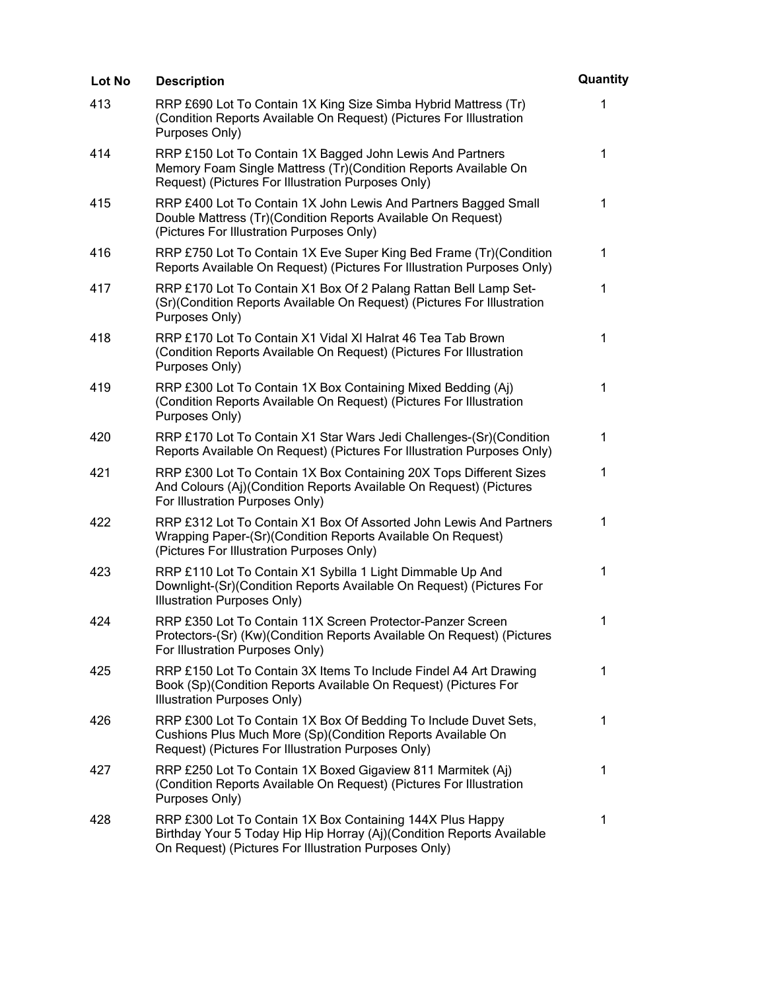| <b>Lot No</b> | <b>Description</b>                                                                                                                                                                          | Quantity    |
|---------------|---------------------------------------------------------------------------------------------------------------------------------------------------------------------------------------------|-------------|
| 413           | RRP £690 Lot To Contain 1X King Size Simba Hybrid Mattress (Tr)<br>(Condition Reports Available On Request) (Pictures For Illustration<br>Purposes Only)                                    | 1           |
| 414           | RRP £150 Lot To Contain 1X Bagged John Lewis And Partners<br>Memory Foam Single Mattress (Tr)(Condition Reports Available On<br>Request) (Pictures For Illustration Purposes Only)          | $\mathbf 1$ |
| 415           | RRP £400 Lot To Contain 1X John Lewis And Partners Bagged Small<br>Double Mattress (Tr)(Condition Reports Available On Request)<br>(Pictures For Illustration Purposes Only)                | 1           |
| 416           | RRP £750 Lot To Contain 1X Eve Super King Bed Frame (Tr) (Condition<br>Reports Available On Request) (Pictures For Illustration Purposes Only)                                              | $\mathbf 1$ |
| 417           | RRP £170 Lot To Contain X1 Box Of 2 Palang Rattan Bell Lamp Set-<br>(Sr)(Condition Reports Available On Request) (Pictures For Illustration<br>Purposes Only)                               | $\mathbf 1$ |
| 418           | RRP £170 Lot To Contain X1 Vidal XI Halrat 46 Tea Tab Brown<br>(Condition Reports Available On Request) (Pictures For Illustration<br>Purposes Only)                                        | 1           |
| 419           | RRP £300 Lot To Contain 1X Box Containing Mixed Bedding (Aj)<br>(Condition Reports Available On Request) (Pictures For Illustration<br>Purposes Only)                                       | 1           |
| 420           | RRP £170 Lot To Contain X1 Star Wars Jedi Challenges-(Sr)(Condition<br>Reports Available On Request) (Pictures For Illustration Purposes Only)                                              | 1           |
| 421           | RRP £300 Lot To Contain 1X Box Containing 20X Tops Different Sizes<br>And Colours (Aj)(Condition Reports Available On Request) (Pictures<br>For Illustration Purposes Only)                 | 1           |
| 422           | RRP £312 Lot To Contain X1 Box Of Assorted John Lewis And Partners<br>Wrapping Paper-(Sr)(Condition Reports Available On Request)<br>(Pictures For Illustration Purposes Only)              | 1           |
| 423           | RRP £110 Lot To Contain X1 Sybilla 1 Light Dimmable Up And<br>Downlight-(Sr)(Condition Reports Available On Request) (Pictures For<br>Illustration Purposes Only)                           | 1           |
| 424           | RRP £350 Lot To Contain 11X Screen Protector-Panzer Screen<br>Protectors-(Sr) (Kw)(Condition Reports Available On Request) (Pictures<br>For Illustration Purposes Only)                     | $\mathbf 1$ |
| 425           | RRP £150 Lot To Contain 3X Items To Include Findel A4 Art Drawing<br>Book (Sp)(Condition Reports Available On Request) (Pictures For<br>Illustration Purposes Only)                         | 1           |
| 426           | RRP £300 Lot To Contain 1X Box Of Bedding To Include Duvet Sets,<br>Cushions Plus Much More (Sp)(Condition Reports Available On<br>Request) (Pictures For Illustration Purposes Only)       | $\mathbf 1$ |
| 427           | RRP £250 Lot To Contain 1X Boxed Gigaview 811 Marmitek (Aj)<br>(Condition Reports Available On Request) (Pictures For Illustration<br>Purposes Only)                                        | 1           |
| 428           | RRP £300 Lot To Contain 1X Box Containing 144X Plus Happy<br>Birthday Your 5 Today Hip Hip Horray (Aj)(Condition Reports Available<br>On Request) (Pictures For Illustration Purposes Only) | 1           |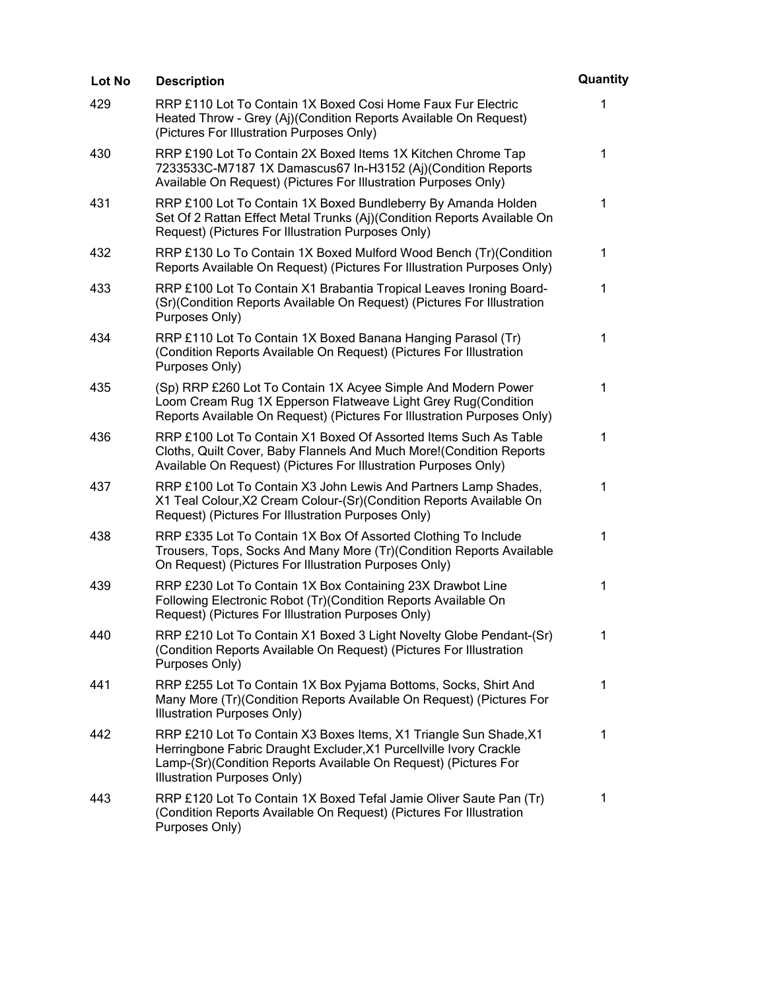| Lot No | <b>Description</b>                                                                                                                                                                                                                        | Quantity |
|--------|-------------------------------------------------------------------------------------------------------------------------------------------------------------------------------------------------------------------------------------------|----------|
| 429    | RRP £110 Lot To Contain 1X Boxed Cosi Home Faux Fur Electric<br>Heated Throw - Grey (Aj)(Condition Reports Available On Request)<br>(Pictures For Illustration Purposes Only)                                                             | 1        |
| 430    | RRP £190 Lot To Contain 2X Boxed Items 1X Kitchen Chrome Tap<br>7233533C-M7187 1X Damascus67 In-H3152 (Aj)(Condition Reports<br>Available On Request) (Pictures For Illustration Purposes Only)                                           | 1        |
| 431    | RRP £100 Lot To Contain 1X Boxed Bundleberry By Amanda Holden<br>Set Of 2 Rattan Effect Metal Trunks (Aj)(Condition Reports Available On<br>Request) (Pictures For Illustration Purposes Only)                                            | 1        |
| 432    | RRP £130 Lo To Contain 1X Boxed Mulford Wood Bench (Tr) (Condition<br>Reports Available On Request) (Pictures For Illustration Purposes Only)                                                                                             | 1        |
| 433    | RRP £100 Lot To Contain X1 Brabantia Tropical Leaves Ironing Board-<br>(Sr)(Condition Reports Available On Request) (Pictures For Illustration<br>Purposes Only)                                                                          | 1        |
| 434    | RRP £110 Lot To Contain 1X Boxed Banana Hanging Parasol (Tr)<br>(Condition Reports Available On Request) (Pictures For Illustration<br>Purposes Only)                                                                                     | 1        |
| 435    | (Sp) RRP £260 Lot To Contain 1X Acyee Simple And Modern Power<br>Loom Cream Rug 1X Epperson Flatweave Light Grey Rug(Condition<br>Reports Available On Request) (Pictures For Illustration Purposes Only)                                 | 1        |
| 436    | RRP £100 Lot To Contain X1 Boxed Of Assorted Items Such As Table<br>Cloths, Quilt Cover, Baby Flannels And Much More! (Condition Reports<br>Available On Request) (Pictures For Illustration Purposes Only)                               | 1        |
| 437    | RRP £100 Lot To Contain X3 John Lewis And Partners Lamp Shades,<br>X1 Teal Colour, X2 Cream Colour-(Sr) (Condition Reports Available On<br>Request) (Pictures For Illustration Purposes Only)                                             | 1        |
| 438    | RRP £335 Lot To Contain 1X Box Of Assorted Clothing To Include<br>Trousers, Tops, Socks And Many More (Tr) (Condition Reports Available<br>On Request) (Pictures For Illustration Purposes Only)                                          | 1        |
| 439    | RRP £230 Lot To Contain 1X Box Containing 23X Drawbot Line<br>Following Electronic Robot (Tr) (Condition Reports Available On<br>Request) (Pictures For Illustration Purposes Only)                                                       | 1        |
| 440    | RRP £210 Lot To Contain X1 Boxed 3 Light Novelty Globe Pendant-(Sr)<br>(Condition Reports Available On Request) (Pictures For Illustration<br>Purposes Only)                                                                              | 1        |
| 441    | RRP £255 Lot To Contain 1X Box Pyjama Bottoms, Socks, Shirt And<br>Many More (Tr) (Condition Reports Available On Request) (Pictures For<br>Illustration Purposes Only)                                                                   | 1        |
| 442    | RRP £210 Lot To Contain X3 Boxes Items, X1 Triangle Sun Shade, X1<br>Herringbone Fabric Draught Excluder, X1 Purcellville Ivory Crackle<br>Lamp-(Sr)(Condition Reports Available On Request) (Pictures For<br>Illustration Purposes Only) | 1        |
| 443    | RRP £120 Lot To Contain 1X Boxed Tefal Jamie Oliver Saute Pan (Tr)<br>(Condition Reports Available On Request) (Pictures For Illustration<br>Purposes Only)                                                                               | 1        |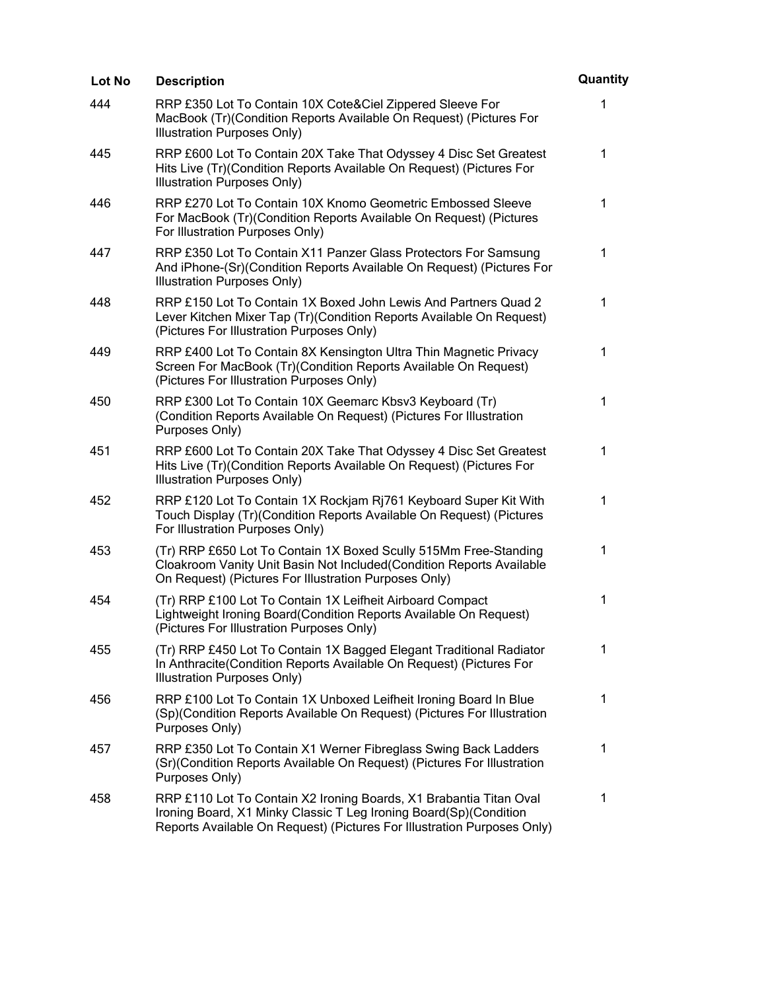| Lot No | <b>Description</b>                                                                                                                                                                                                 | Quantity    |
|--------|--------------------------------------------------------------------------------------------------------------------------------------------------------------------------------------------------------------------|-------------|
| 444    | RRP £350 Lot To Contain 10X Cote&Ciel Zippered Sleeve For<br>MacBook (Tr)(Condition Reports Available On Request) (Pictures For<br>Illustration Purposes Only)                                                     | 1           |
| 445    | RRP £600 Lot To Contain 20X Take That Odyssey 4 Disc Set Greatest<br>Hits Live (Tr) (Condition Reports Available On Request) (Pictures For<br>Illustration Purposes Only)                                          | 1           |
| 446    | RRP £270 Lot To Contain 10X Knomo Geometric Embossed Sleeve<br>For MacBook (Tr)(Condition Reports Available On Request) (Pictures<br>For Illustration Purposes Only)                                               | 1           |
| 447    | RRP £350 Lot To Contain X11 Panzer Glass Protectors For Samsung<br>And iPhone-(Sr)(Condition Reports Available On Request) (Pictures For<br>Illustration Purposes Only)                                            | 1           |
| 448    | RRP £150 Lot To Contain 1X Boxed John Lewis And Partners Quad 2<br>Lever Kitchen Mixer Tap (Tr)(Condition Reports Available On Request)<br>(Pictures For Illustration Purposes Only)                               | 1           |
| 449    | RRP £400 Lot To Contain 8X Kensington Ultra Thin Magnetic Privacy<br>Screen For MacBook (Tr)(Condition Reports Available On Request)<br>(Pictures For Illustration Purposes Only)                                  | 1           |
| 450    | RRP £300 Lot To Contain 10X Geemarc Kbsv3 Keyboard (Tr)<br>(Condition Reports Available On Request) (Pictures For Illustration<br>Purposes Only)                                                                   | 1           |
| 451    | RRP £600 Lot To Contain 20X Take That Odyssey 4 Disc Set Greatest<br>Hits Live (Tr)(Condition Reports Available On Request) (Pictures For<br>Illustration Purposes Only)                                           | 1           |
| 452    | RRP £120 Lot To Contain 1X Rockjam Rj761 Keyboard Super Kit With<br>Touch Display (Tr)(Condition Reports Available On Request) (Pictures<br>For Illustration Purposes Only)                                        | 1           |
| 453    | (Tr) RRP £650 Lot To Contain 1X Boxed Scully 515Mm Free-Standing<br>Cloakroom Vanity Unit Basin Not Included (Condition Reports Available<br>On Request) (Pictures For Illustration Purposes Only)                 | 1           |
| 454    | (Tr) RRP £100 Lot To Contain 1X Leifheit Airboard Compact<br>Lightweight Ironing Board (Condition Reports Available On Request)<br>(Pictures For Illustration Purposes Only)                                       | 1           |
| 455    | (Tr) RRP £450 Lot To Contain 1X Bagged Elegant Traditional Radiator<br>In Anthracite(Condition Reports Available On Request) (Pictures For<br>Illustration Purposes Only)                                          | $\mathbf 1$ |
| 456    | RRP £100 Lot To Contain 1X Unboxed Leifheit Ironing Board In Blue<br>(Sp)(Condition Reports Available On Request) (Pictures For Illustration<br>Purposes Only)                                                     | 1           |
| 457    | RRP £350 Lot To Contain X1 Werner Fibreglass Swing Back Ladders<br>(Sr)(Condition Reports Available On Request) (Pictures For Illustration<br>Purposes Only)                                                       | 1           |
| 458    | RRP £110 Lot To Contain X2 Ironing Boards, X1 Brabantia Titan Oval<br>Ironing Board, X1 Minky Classic T Leg Ironing Board(Sp)(Condition<br>Reports Available On Request) (Pictures For Illustration Purposes Only) | $\mathbf 1$ |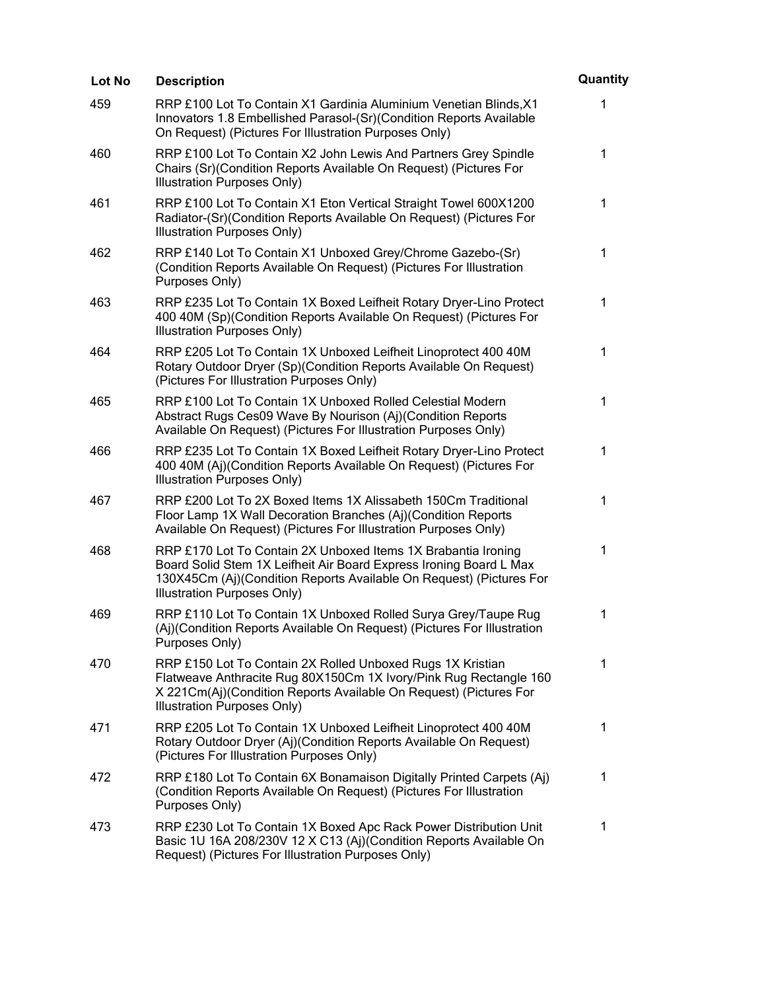| Lot No | <b>Description</b>                                                                                                                                                                                                                        | Quantity    |
|--------|-------------------------------------------------------------------------------------------------------------------------------------------------------------------------------------------------------------------------------------------|-------------|
| 459    | RRP £100 Lot To Contain X1 Gardinia Aluminium Venetian Blinds, X1<br>Innovators 1.8 Embellished Parasol-(Sr)(Condition Reports Available<br>On Request) (Pictures For Illustration Purposes Only)                                         | 1           |
| 460    | RRP £100 Lot To Contain X2 John Lewis And Partners Grey Spindle<br>Chairs (Sr) (Condition Reports Available On Request) (Pictures For<br>Illustration Purposes Only)                                                                      | $\mathbf 1$ |
| 461    | RRP £100 Lot To Contain X1 Eton Vertical Straight Towel 600X1200<br>Radiator-(Sr)(Condition Reports Available On Request) (Pictures For<br>Illustration Purposes Only)                                                                    | 1           |
| 462    | RRP £140 Lot To Contain X1 Unboxed Grey/Chrome Gazebo-(Sr)<br>(Condition Reports Available On Request) (Pictures For Illustration<br>Purposes Only)                                                                                       | 1           |
| 463    | RRP £235 Lot To Contain 1X Boxed Leifheit Rotary Dryer-Lino Protect<br>400 40M (Sp)(Condition Reports Available On Request) (Pictures For<br>Illustration Purposes Only)                                                                  | 1           |
| 464    | RRP £205 Lot To Contain 1X Unboxed Leifheit Linoprotect 400 40M<br>Rotary Outdoor Dryer (Sp)(Condition Reports Available On Request)<br>(Pictures For Illustration Purposes Only)                                                         | 1           |
| 465    | RRP £100 Lot To Contain 1X Unboxed Rolled Celestial Modern<br>Abstract Rugs Ces09 Wave By Nourison (Aj)(Condition Reports<br>Available On Request) (Pictures For Illustration Purposes Only)                                              | $\mathbf 1$ |
| 466    | RRP £235 Lot To Contain 1X Boxed Leifheit Rotary Dryer-Lino Protect<br>400 40M (Aj)(Condition Reports Available On Request) (Pictures For<br>Illustration Purposes Only)                                                                  | 1           |
| 467    | RRP £200 Lot To 2X Boxed Items 1X Alissabeth 150Cm Traditional<br>Floor Lamp 1X Wall Decoration Branches (Aj)(Condition Reports<br>Available On Request) (Pictures For Illustration Purposes Only)                                        | 1           |
| 468    | RRP £170 Lot To Contain 2X Unboxed Items 1X Brabantia Ironing<br>Board Solid Stem 1X Leifheit Air Board Express Ironing Board L Max<br>130X45Cm (Aj)(Condition Reports Available On Request) (Pictures For<br>Illustration Purposes Only) | 1           |
| 469    | RRP £110 Lot To Contain 1X Unboxed Rolled Surya Grey/Taupe Rug<br>(Aj)(Condition Reports Available On Request) (Pictures For Illustration<br>Purposes Only)                                                                               | 1           |
| 470    | RRP £150 Lot To Contain 2X Rolled Unboxed Rugs 1X Kristian<br>Flatweave Anthracite Rug 80X150Cm 1X Ivory/Pink Rug Rectangle 160<br>X 221Cm(Aj)(Condition Reports Available On Request) (Pictures For<br>Illustration Purposes Only)       | $\mathbf 1$ |
| 471    | RRP £205 Lot To Contain 1X Unboxed Leifheit Linoprotect 400 40M<br>Rotary Outdoor Dryer (Aj)(Condition Reports Available On Request)<br>(Pictures For Illustration Purposes Only)                                                         | 1           |
| 472    | RRP £180 Lot To Contain 6X Bonamaison Digitally Printed Carpets (Aj)<br>(Condition Reports Available On Request) (Pictures For Illustration<br>Purposes Only)                                                                             | 1           |
| 473    | RRP £230 Lot To Contain 1X Boxed Apc Rack Power Distribution Unit<br>Basic 1U 16A 208/230V 12 X C13 (Aj)(Condition Reports Available On<br>Request) (Pictures For Illustration Purposes Only)                                             | 1           |